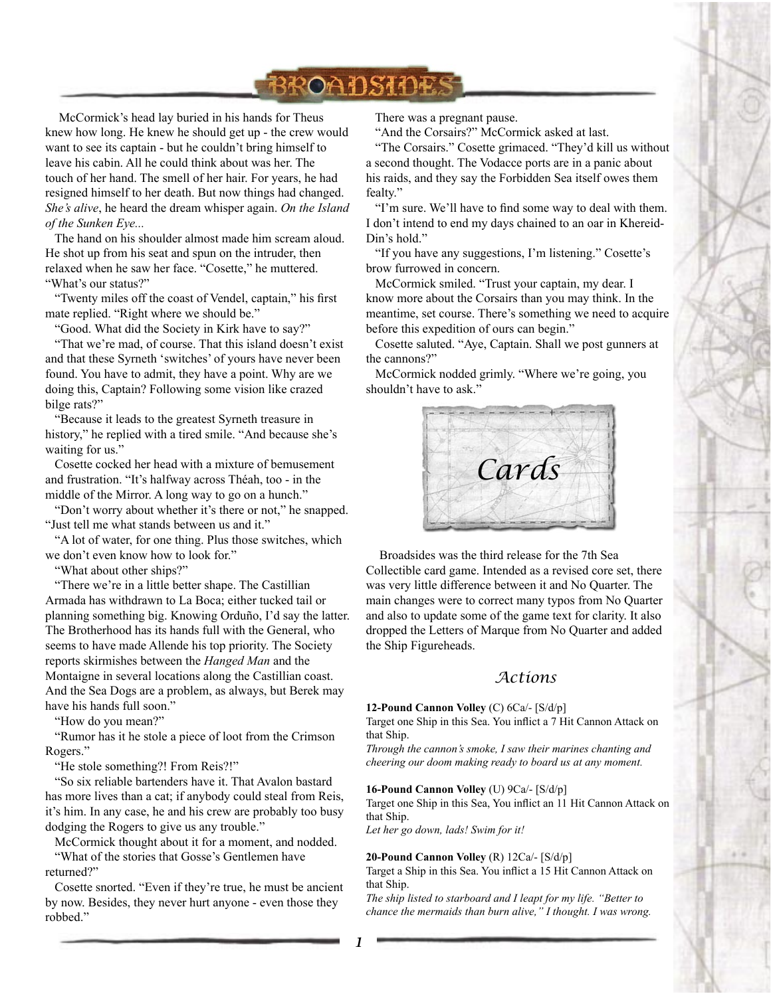

McCormick's head lay buried in his hands for Theus knew how long. He knew he should get up - the crew would want to see its captain - but he couldn't bring himself to leave his cabin. All he could think about was her. The touch of her hand. The smell of her hair. For years, he had resigned himself to her death. But now things had changed. *She's alive*, he heard the dream whisper again. *On the Island of the Sunken Eye...*

 The hand on his shoulder almost made him scream aloud. He shot up from his seat and spun on the intruder, then relaxed when he saw her face. "Cosette," he muttered. "What's our status?"

 "Twenty miles off the coast of Vendel, captain," his first mate replied. "Right where we should be."

"Good. What did the Society in Kirk have to say?"

 "That we're mad, of course. That this island doesn't exist and that these Syrneth 'switches' of yours have never been found. You have to admit, they have a point. Why are we doing this, Captain? Following some vision like crazed bilge rats?"

 "Because it leads to the greatest Syrneth treasure in history," he replied with a tired smile. "And because she's waiting for us."

 Cosette cocked her head with a mixture of bemusement and frustration. "It's halfway across Théah, too - in the middle of the Mirror. A long way to go on a hunch."

 "Don't worry about whether it's there or not," he snapped. "Just tell me what stands between us and it."

 "A lot of water, for one thing. Plus those switches, which we don't even know how to look for."

"What about other ships?"

 "There we're in a little better shape. The Castillian Armada has withdrawn to La Boca; either tucked tail or planning something big. Knowing Orduño, I'd say the latter. The Brotherhood has its hands full with the General, who seems to have made Allende his top priority. The Society reports skirmishes between the *Hanged Man* and the Montaigne in several locations along the Castillian coast. And the Sea Dogs are a problem, as always, but Berek may have his hands full soon."

"How do you mean?"

 "Rumor has it he stole a piece of loot from the Crimson Rogers."

"He stole something?! From Reis?!"

 "So six reliable bartenders have it. That Avalon bastard has more lives than a cat; if anybody could steal from Reis, it's him. In any case, he and his crew are probably too busy dodging the Rogers to give us any trouble."

McCormick thought about it for a moment, and nodded.

 "What of the stories that Gosse's Gentlemen have returned?"

 Cosette snorted. "Even if they're true, he must be ancient by now. Besides, they never hurt anyone - even those they robbed."

There was a pregnant pause.

"And the Corsairs?" McCormick asked at last.

 "The Corsairs." Cosette grimaced. "They'd kill us without a second thought. The Vodacce ports are in a panic about his raids, and they say the Forbidden Sea itself owes them fealty."

 "I'm sure. We'll have to find some way to deal with them. I don't intend to end my days chained to an oar in Khereid-Din's hold."

 "If you have any suggestions, I'm listening." Cosette's brow furrowed in concern.

 McCormick smiled. "Trust your captain, my dear. I know more about the Corsairs than you may think. In the meantime, set course. There's something we need to acquire before this expedition of ours can begin."

 Cosette saluted. "Aye, Captain. Shall we post gunners at the cannons?"

 McCormick nodded grimly. "Where we're going, you shouldn't have to ask."



Broadsides was the third release for the 7th Sea Collectible card game. Intended as a revised core set, there was very little difference between it and No Quarter. The main changes were to correct many typos from No Quarter and also to update some of the game text for clarity. It also dropped the Letters of Marque from No Quarter and added the Ship Figureheads.

# *Actions*

#### **12-Pound Cannon Volley** (C) 6Ca/- [S/d/p]

Target one Ship in this Sea. You inflict a 7 Hit Cannon Attack on that Ship.

*Through the cannon's smoke, I saw their marines chanting and cheering our doom making ready to board us at any moment.*

**16-Pound Cannon Volley** (U) 9Ca/- [S/d/p]

Target one Ship in this Sea, You inflict an 11 Hit Cannon Attack on that Ship.

*Let her go down, lads! Swim for it!*

#### **20-Pound Cannon Volley** (R) 12Ca/- [S/d/p]

Target a Ship in this Sea. You inflict a 15 Hit Cannon Attack on that Ship.

*The ship listed to starboard and I leapt for my life. "Better to chance the mermaids than burn alive," I thought. I was wrong.*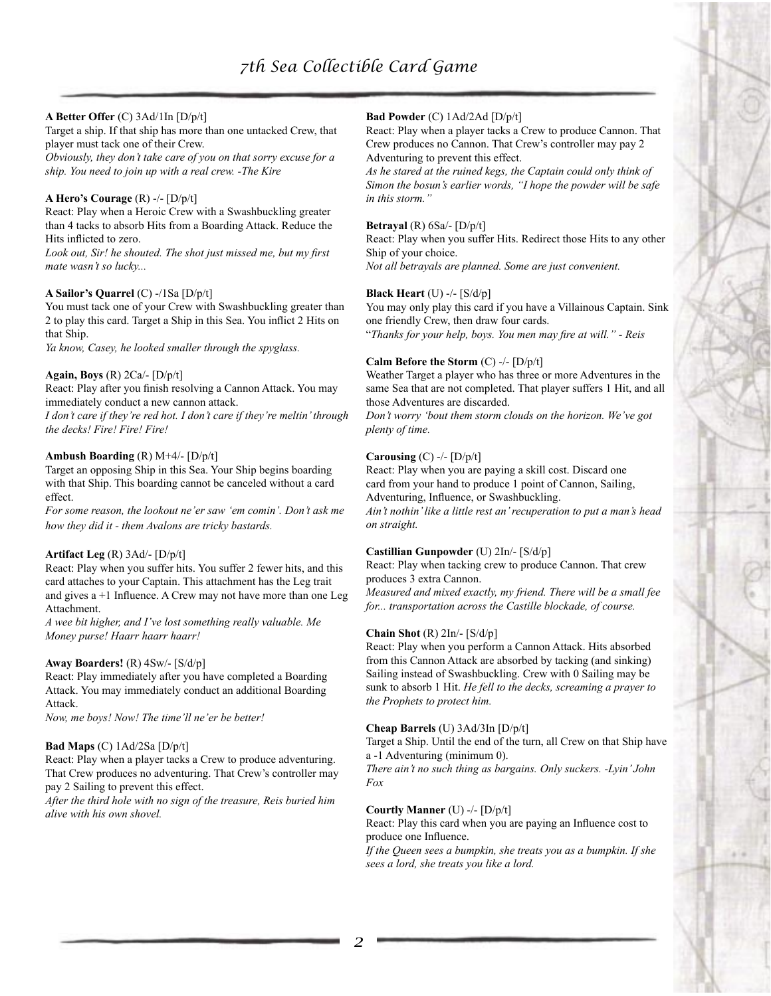# **A Better Offer** (C) 3Ad/1In [D/p/t]

Target a ship. If that ship has more than one untacked Crew, that player must tack one of their Crew.

*Obviously, they don't take care of you on that sorry excuse for a ship. You need to join up with a real crew. -The Kire*

## **A Hero's Courage** (R) -/- [D/p/t]

React: Play when a Heroic Crew with a Swashbuckling greater than 4 tacks to absorb Hits from a Boarding Attack. Reduce the Hits inflicted to zero.

*Look out, Sir! he shouted. The shot just missed me, but my first mate wasn't so lucky...*

#### **A Sailor's Quarrel** (C) -/1Sa [D/p/t]

You must tack one of your Crew with Swashbuckling greater than 2 to play this card. Target a Ship in this Sea. You inflict 2 Hits on that Ship.

*Ya know, Casey, he looked smaller through the spyglass.*

#### **Again, Boys** (R) 2Ca/- [D/p/t]

React: Play after you finish resolving a Cannon Attack. You may immediately conduct a new cannon attack.

*I don't care if they're red hot. I don't care if they're meltin' through the decks! Fire! Fire! Fire!*

#### **Ambush Boarding** (R) M+4/- [D/p/t]

Target an opposing Ship in this Sea. Your Ship begins boarding with that Ship. This boarding cannot be canceled without a card effect.

*For some reason, the lookout ne'er saw 'em comin'. Don't ask me how they did it - them Avalons are tricky bastards.*

#### **Artifact Leg** (R) 3Ad/- [D/p/t]

React: Play when you suffer hits. You suffer 2 fewer hits, and this card attaches to your Captain. This attachment has the Leg trait and gives a +1 Influence. A Crew may not have more than one Leg Attachment.

*A wee bit higher, and I've lost something really valuable. Me Money purse! Haarr haarr haarr!*

#### **Away Boarders!** (R) 4Sw/- [S/d/p]

React: Play immediately after you have completed a Boarding Attack. You may immediately conduct an additional Boarding Attack.

*Now, me boys! Now! The time'll ne'er be better!*

# **Bad Maps** (C) 1Ad/2Sa [D/p/t]

React: Play when a player tacks a Crew to produce adventuring. That Crew produces no adventuring. That Crew's controller may pay 2 Sailing to prevent this effect.

*After the third hole with no sign of the treasure, Reis buried him alive with his own shovel.*

# **Bad Powder** (C) 1Ad/2Ad [D/p/t]

React: Play when a player tacks a Crew to produce Cannon. That Crew produces no Cannon. That Crew's controller may pay 2 Adventuring to prevent this effect.

*As he stared at the ruined kegs, the Captain could only think of Simon the bosun's earlier words, "I hope the powder will be safe in this storm."*

#### **Betrayal** (R) 6Sa/- [D/p/t]

React: Play when you suffer Hits. Redirect those Hits to any other Ship of your choice.

*Not all betrayals are planned. Some are just convenient.*

#### **Black Heart** (U) -/- [S/d/p]

You may only play this card if you have a Villainous Captain. Sink one friendly Crew, then draw four cards.

"*Thanks for your help, boys. You men may fire at will." - Reis*

# **Calm Before the Storm** (C) -/- [D/p/t]

Weather Target a player who has three or more Adventures in the same Sea that are not completed. That player suffers 1 Hit, and all those Adventures are discarded.

*Don't worry 'bout them storm clouds on the horizon. We've got plenty of time.*

#### **Carousing** (C) -/- [D/p/t]

React: Play when you are paying a skill cost. Discard one card from your hand to produce 1 point of Cannon, Sailing, Adventuring, Influence, or Swashbuckling.

*Ain't nothin' like a little rest an' recuperation to put a man's head on straight.*

#### **Castillian Gunpowder** (U) 2In/- [S/d/p]

React: Play when tacking crew to produce Cannon. That crew produces 3 extra Cannon.

*Measured and mixed exactly, my friend. There will be a small fee for... transportation across the Castille blockade, of course.*

#### **Chain Shot** (R) 2In/- [S/d/p]

React: Play when you perform a Cannon Attack. Hits absorbed from this Cannon Attack are absorbed by tacking (and sinking) Sailing instead of Swashbuckling. Crew with 0 Sailing may be sunk to absorb 1 Hit. *He fell to the decks, screaming a prayer to the Prophets to protect him.*

#### **Cheap Barrels** (U) 3Ad/3In [D/p/t]

Target a Ship. Until the end of the turn, all Crew on that Ship have a -1 Adventuring (minimum 0).

*There ain't no such thing as bargains. Only suckers. -Lyin' John Fox*

# **Courtly Manner** (U) -/- [D/p/t]

React: Play this card when you are paying an Influence cost to produce one Influence.

*If the Queen sees a bumpkin, she treats you as a bumpkin. If she sees a lord, she treats you like a lord.*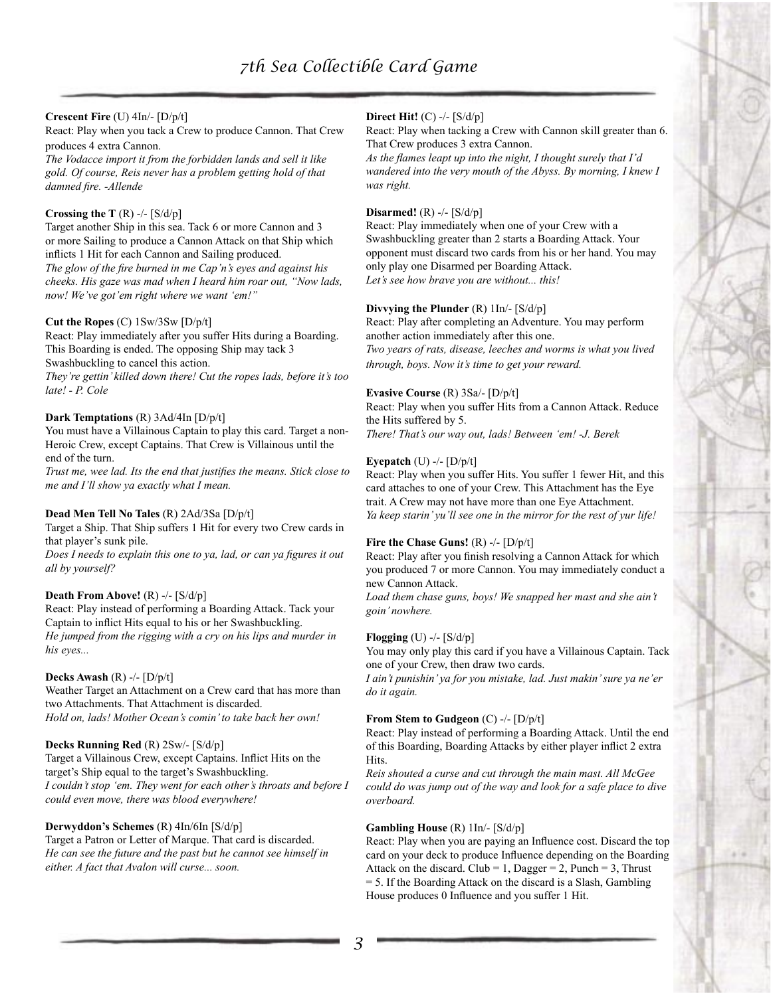# **Crescent Fire** (U) 4In/- [D/p/t]

React: Play when you tack a Crew to produce Cannon. That Crew produces 4 extra Cannon.

*The Vodacce import it from the forbidden lands and sell it like gold. Of course, Reis never has a problem getting hold of that damned fire. -Allende*

# **Crossing the T** (R) -/- [S/d/p]

Target another Ship in this sea. Tack 6 or more Cannon and 3 or more Sailing to produce a Cannon Attack on that Ship which inflicts 1 Hit for each Cannon and Sailing produced. *The glow of the fire burned in me Cap'n's eyes and against his cheeks. His gaze was mad when I heard him roar out, "Now lads, now! We've got'em right where we want 'em!"*

# **Cut the Ropes** (C) 1Sw/3Sw [D/p/t]

React: Play immediately after you suffer Hits during a Boarding. This Boarding is ended. The opposing Ship may tack 3 Swashbuckling to cancel this action.

*They're gettin' killed down there! Cut the ropes lads, before it's too late! - P. Cole*

# **Dark Temptations** (R) 3Ad/4In [D/p/t]

You must have a Villainous Captain to play this card. Target a non-Heroic Crew, except Captains. That Crew is Villainous until the end of the turn.

*Trust me, wee lad. Its the end that justifies the means. Stick close to me and I'll show ya exactly what I mean.*

# **Dead Men Tell No Tales** (R) 2Ad/3Sa [D/p/t]

Target a Ship. That Ship suffers 1 Hit for every two Crew cards in that player's sunk pile.

*Does I needs to explain this one to ya, lad, or can ya figures it out all by yourself?*

#### **Death From Above!** (R) -/- [S/d/p]

React: Play instead of performing a Boarding Attack. Tack your Captain to inflict Hits equal to his or her Swashbuckling. *He jumped from the rigging with a cry on his lips and murder in his eyes...*

#### **Decks Awash** (R) -/- [D/p/t]

Weather Target an Attachment on a Crew card that has more than two Attachments. That Attachment is discarded. *Hold on, lads! Mother Ocean's comin' to take back her own!*

#### **Decks Running Red** (R) 2Sw/- [S/d/p]

Target a Villainous Crew, except Captains. Inflict Hits on the target's Ship equal to the target's Swashbuckling. *I couldn't stop 'em. They went for each other's throats and before I could even move, there was blood everywhere!*

# **Derwyddon's Schemes** (R) 4In/6In [S/d/p]

Target a Patron or Letter of Marque. That card is discarded. *He can see the future and the past but he cannot see himself in either. A fact that Avalon will curse... soon.*

# **Direct Hit!** (C) -/- [S/d/p]

React: Play when tacking a Crew with Cannon skill greater than 6. That Crew produces 3 extra Cannon.

*As the flames leapt up into the night, I thought surely that I'd wandered into the very mouth of the Abyss. By morning, I knew I was right.*

#### **Disarmed!** (R) -/- [S/d/p]

React: Play immediately when one of your Crew with a Swashbuckling greater than 2 starts a Boarding Attack. Your opponent must discard two cards from his or her hand. You may only play one Disarmed per Boarding Attack. *Let's see how brave you are without... this!*

#### **Divvying the Plunder** (R) 1In/- [S/d/p]

React: Play after completing an Adventure. You may perform another action immediately after this one. *Two years of rats, disease, leeches and worms is what you lived through, boys. Now it's time to get your reward.*

# **Evasive Course** (R) 3Sa/- [D/p/t]

React: Play when you suffer Hits from a Cannon Attack. Reduce the Hits suffered by 5. *There! That's our way out, lads! Between 'em! -J. Berek*

#### **Eyepatch** (U) -/- [D/p/t]

React: Play when you suffer Hits. You suffer 1 fewer Hit, and this card attaches to one of your Crew. This Attachment has the Eye trait. A Crew may not have more than one Eye Attachment. *Ya keep starin' yu'll see one in the mirror for the rest of yur life!*

#### **Fire the Chase Guns!** (R) -/- [D/p/t]

React: Play after you finish resolving a Cannon Attack for which you produced 7 or more Cannon. You may immediately conduct a new Cannon Attack.

*Load them chase guns, boys! We snapped her mast and she ain't goin' nowhere.*

#### **Flogging** (U) -/- [S/d/p]

You may only play this card if you have a Villainous Captain. Tack one of your Crew, then draw two cards.

*I ain't punishin' ya for you mistake, lad. Just makin' sure ya ne'er do it again.*

#### **From Stem to Gudgeon** (C) -/- [D/p/t]

React: Play instead of performing a Boarding Attack. Until the end of this Boarding, Boarding Attacks by either player inflict 2 extra Hits.

*Reis shouted a curse and cut through the main mast. All McGee could do was jump out of the way and look for a safe place to dive overboard.*

# **Gambling House** (R) 1In/- [S/d/p]

React: Play when you are paying an Influence cost. Discard the top card on your deck to produce Influence depending on the Boarding Attack on the discard. Club =  $1$ , Dagger =  $2$ , Punch =  $3$ , Thrust = 5. If the Boarding Attack on the discard is a Slash, Gambling House produces 0 Influence and you suffer 1 Hit.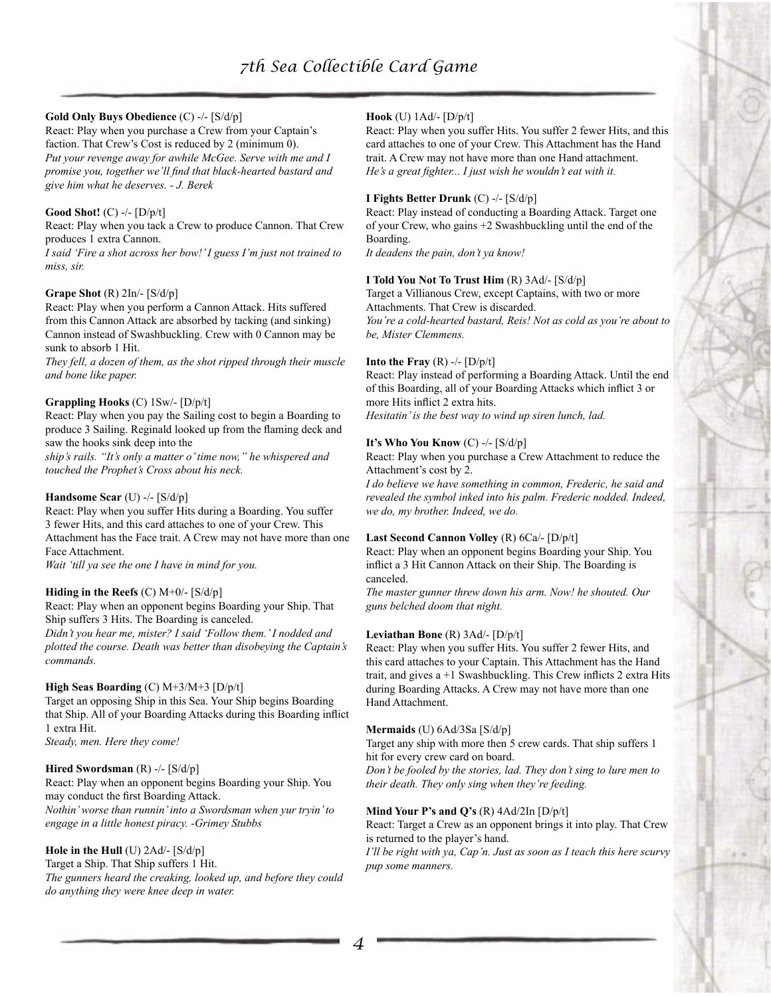# **Gold Only Buys Obedience** (C) -/- [S/d/p]

React: Play when you purchase a Crew from your Captain's faction. That Crew's Cost is reduced by 2 (minimum 0). *Put your revenge away for awhile McGee. Serve with me and I promise you, together we'll find that black-hearted bastard and give him what he deserves. - J. Berek*

#### **Good Shot!** (C) -/- [D/p/t]

React: Play when you tack a Crew to produce Cannon. That Crew produces 1 extra Cannon.

*I said 'Fire a shot across her bow!' I guess I'm just not trained to miss, sir.*

#### **Grape Shot** (R) 2In/- [S/d/p]

React: Play when you perform a Cannon Attack. Hits suffered from this Cannon Attack are absorbed by tacking (and sinking) Cannon instead of Swashbuckling. Crew with 0 Cannon may be sunk to absorb 1 Hit.

*They fell, a dozen of them, as the shot ripped through their muscle and bone like paper.*

# **Grappling Hooks** (C) 1Sw/- [D/p/t]

React: Play when you pay the Sailing cost to begin a Boarding to produce 3 Sailing. Reginald looked up from the flaming deck and saw the hooks sink deep into the

*ship's rails. "It's only a matter o' time now," he whispered and touched the Prophet's Cross about his neck.*

#### **Handsome Scar** (U) -/- [S/d/p]

React: Play when you suffer Hits during a Boarding. You suffer 3 fewer Hits, and this card attaches to one of your Crew. This Attachment has the Face trait. A Crew may not have more than one Face Attachment.

*Wait 'till ya see the one I have in mind for you.*

#### **Hiding in the Reefs** (C) M+0/- [S/d/p]

React: Play when an opponent begins Boarding your Ship. That Ship suffers 3 Hits. The Boarding is canceled.

*Didn't you hear me, mister? I said 'Follow them.' I nodded and plotted the course. Death was better than disobeying the Captain's commands.*

#### **High Seas Boarding** (C) M+3/M+3 [D/p/t]

Target an opposing Ship in this Sea. Your Ship begins Boarding that Ship. All of your Boarding Attacks during this Boarding inflict 1 extra Hit. *Steady, men. Here they come!*

#### **Hired Swordsman** (R) -/- [S/d/p]

React: Play when an opponent begins Boarding your Ship. You may conduct the first Boarding Attack. *Nothin' worse than runnin' into a Swordsman when yur tryin' to engage in a little honest piracy. -Grimey Stubbs*

# **Hole in the Hull** (U) 2Ad/- [S/d/p]

Target a Ship. That Ship suffers 1 Hit. *The gunners heard the creaking, looked up, and before they could do anything they were knee deep in water.*

#### **Hook** (U) 1Ad/- [D/p/t]

React: Play when you suffer Hits. You suffer 2 fewer Hits, and this card attaches to one of your Crew. This Attachment has the Hand trait. A Crew may not have more than one Hand attachment. *He's a great fighter... I just wish he wouldn't eat with it.*

#### **I Fights Better Drunk** (C) -/- [S/d/p]

React: Play instead of conducting a Boarding Attack. Target one of your Crew, who gains +2 Swashbuckling until the end of the Boarding.

*It deadens the pain, don't ya know!*

#### **I Told You Not To Trust Him** (R) 3Ad/- [S/d/p]

Target a Villianous Crew, except Captains, with two or more Attachments. That Crew is discarded.

*You're a cold-hearted bastard, Reis! Not as cold as you're about to be, Mister Clemmens.*

#### **Into the Fray**  $(R)$  -/-  $[D/p/t]$

React: Play instead of performing a Boarding Attack. Until the end of this Boarding, all of your Boarding Attacks which inflict 3 or more Hits inflict 2 extra hits.

*Hesitatin' is the best way to wind up siren lunch, lad.*

#### **It's Who You Know** (C) -/- [S/d/p]

React: Play when you purchase a Crew Attachment to reduce the Attachment's cost by 2.

*I do believe we have something in common, Frederic, he said and revealed the symbol inked into his palm. Frederic nodded. Indeed, we do, my brother. Indeed, we do.*

#### **Last Second Cannon Volley** (R) 6Ca/- [D/p/t]

React: Play when an opponent begins Boarding your Ship. You inflict a 3 Hit Cannon Attack on their Ship. The Boarding is canceled.

*The master gunner threw down his arm. Now! he shouted. Our guns belched doom that night.*

#### **Leviathan Bone** (R) 3Ad/- [D/p/t]

React: Play when you suffer Hits. You suffer 2 fewer Hits, and this card attaches to your Captain. This Attachment has the Hand trait, and gives a +1 Swashbuckling. This Crew inflicts 2 extra Hits during Boarding Attacks. A Crew may not have more than one Hand Attachment.

#### **Mermaids** (U) 6Ad/3Sa [S/d/p]

Target any ship with more then 5 crew cards. That ship suffers 1 hit for every crew card on board.

*Don't be fooled by the stories, lad. They don't sing to lure men to their death. They only sing when they're feeding.*

#### **Mind Your P's and Q's** (R) 4Ad/2In [D/p/t]

React: Target a Crew as an opponent brings it into play. That Crew is returned to the player's hand.

*I'll be right with ya, Cap'n. Just as soon as I teach this here scurvy pup some manners.*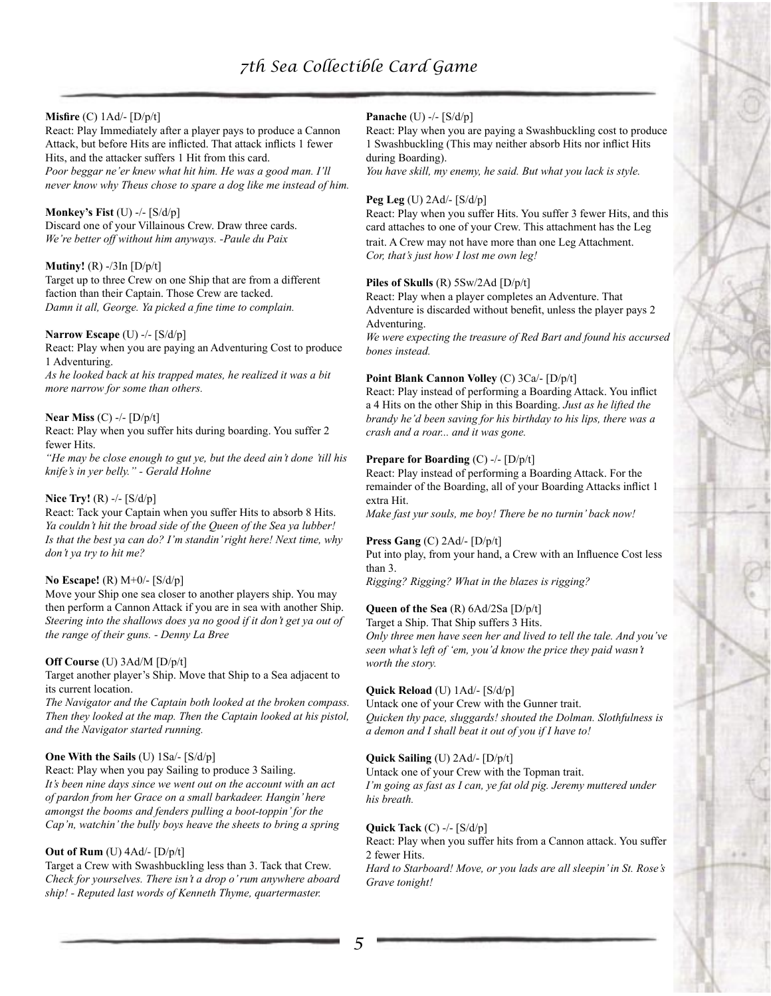# **Misfire** (C) 1Ad/- [D/p/t]

React: Play Immediately after a player pays to produce a Cannon Attack, but before Hits are inflicted. That attack inflicts 1 fewer Hits, and the attacker suffers 1 Hit from this card. *Poor beggar ne'er knew what hit him. He was a good man. I'll never know why Theus chose to spare a dog like me instead of him.*

#### **Monkey's Fist** (U) -/- [S/d/p]

Discard one of your Villainous Crew. Draw three cards. *We're better off without him anyways. -Paule du Paix*

# **Mutiny!** (R) -/3In [D/p/t]

Target up to three Crew on one Ship that are from a different faction than their Captain. Those Crew are tacked. *Damn it all, George. Ya picked a fine time to complain.*

#### **Narrow Escape** (U) -/- [S/d/p]

React: Play when you are paying an Adventuring Cost to produce 1 Adventuring.

*As he looked back at his trapped mates, he realized it was a bit more narrow for some than others.*

#### **Near Miss** (C) -/- [D/p/t]

React: Play when you suffer hits during boarding. You suffer 2 fewer Hits.

*"He may be close enough to gut ye, but the deed ain't done 'till his knife's in yer belly." - Gerald Hohne*

#### **Nice Try!** (R) -/- [S/d/p]

React: Tack your Captain when you suffer Hits to absorb 8 Hits. *Ya couldn't hit the broad side of the Queen of the Sea ya lubber! Is that the best ya can do? I'm standin' right here! Next time, why don't ya try to hit me?*

#### **No Escape!** (R) M+0/- [S/d/p]

Move your Ship one sea closer to another players ship. You may then perform a Cannon Attack if you are in sea with another Ship. *Steering into the shallows does ya no good if it don't get ya out of the range of their guns. - Denny La Bree*

#### **Off Course** (U) 3Ad/M [D/p/t]

Target another player's Ship. Move that Ship to a Sea adjacent to its current location.

*The Navigator and the Captain both looked at the broken compass. Then they looked at the map. Then the Captain looked at his pistol, and the Navigator started running.*

#### **One With the Sails** (U) 1Sa/- [S/d/p]

React: Play when you pay Sailing to produce 3 Sailing. *It's been nine days since we went out on the account with an act of pardon from her Grace on a small barkadeer. Hangin' here amongst the booms and fenders pulling a boot-toppin' for the Cap'n, watchin' the bully boys heave the sheets to bring a spring*

# **Out of Rum** (U) 4Ad/- [D/p/t]

Target a Crew with Swashbuckling less than 3. Tack that Crew. *Check for yourselves. There isn't a drop o' rum anywhere aboard ship! - Reputed last words of Kenneth Thyme, quartermaster.*

# **Panache** (U) -/- [S/d/p]

React: Play when you are paying a Swashbuckling cost to produce 1 Swashbuckling (This may neither absorb Hits nor inflict Hits during Boarding).

*You have skill, my enemy, he said. But what you lack is style.*

#### **Peg Leg** (U) 2Ad/- [S/d/p]

React: Play when you suffer Hits. You suffer 3 fewer Hits, and this card attaches to one of your Crew. This attachment has the Leg trait. A Crew may not have more than one Leg Attachment. *Cor, that's just how I lost me own leg!*

# **Piles of Skulls** (R) 5Sw/2Ad [D/p/t]

React: Play when a player completes an Adventure. That Adventure is discarded without benefit, unless the player pays 2 Adventuring.

*We were expecting the treasure of Red Bart and found his accursed bones instead.*

#### **Point Blank Cannon Volley** (C) 3Ca/- [D/p/t]

React: Play instead of performing a Boarding Attack. You inflict a 4 Hits on the other Ship in this Boarding. *Just as he lifted the brandy he'd been saving for his birthday to his lips, there was a crash and a roar... and it was gone.*

# **Prepare for Boarding** (C) -/- [D/p/t]

React: Play instead of performing a Boarding Attack. For the remainder of the Boarding, all of your Boarding Attacks inflict 1 extra Hit.

*Make fast yur souls, me boy! There be no turnin' back now!*

#### **Press Gang** (C) 2Ad/- [D/p/t]

Put into play, from your hand, a Crew with an Influence Cost less than 3.

*Rigging? Rigging? What in the blazes is rigging?*

# **Queen of the Sea** (R) 6Ad/2Sa [D/p/t]

Target a Ship. That Ship suffers 3 Hits.

*Only three men have seen her and lived to tell the tale. And you've seen what's left of 'em, you'd know the price they paid wasn't worth the story.*

#### **Quick Reload** (U) 1Ad/- [S/d/p]

Untack one of your Crew with the Gunner trait. *Quicken thy pace, sluggards! shouted the Dolman. Slothfulness is a demon and I shall beat it out of you if I have to!*

#### **Quick Sailing** (U) 2Ad/- [D/p/t]

Untack one of your Crew with the Topman trait. *I'm going as fast as I can, ye fat old pig. Jeremy muttered under his breath.*

#### **Quick Tack** (C) -/- [S/d/p]

React: Play when you suffer hits from a Cannon attack. You suffer 2 fewer Hits.

*Hard to Starboard! Move, or you lads are all sleepin' in St. Rose's Grave tonight!*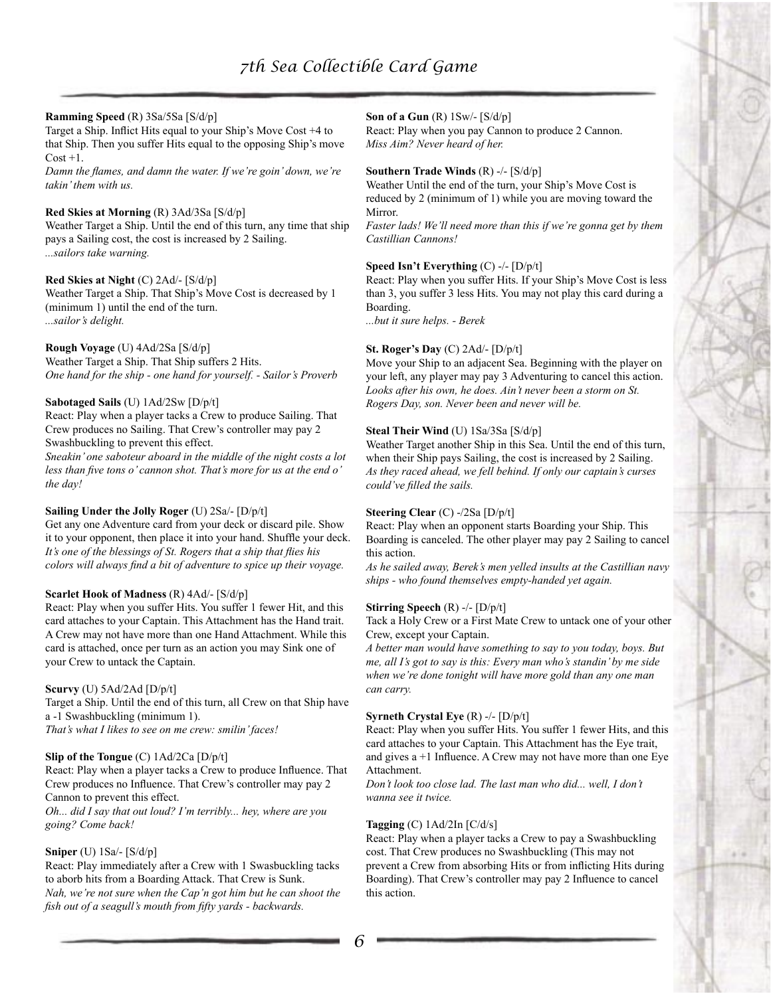#### **Ramming Speed** (R) 3Sa/5Sa [S/d/p]

Target a Ship. Inflict Hits equal to your Ship's Move Cost +4 to that Ship. Then you suffer Hits equal to the opposing Ship's move  $Cost +1.$ 

*Damn the flames, and damn the water. If we're goin' down, we're takin' them with us.*

#### **Red Skies at Morning** (R) 3Ad/3Sa [S/d/p]

Weather Target a Ship. Until the end of this turn, any time that ship pays a Sailing cost, the cost is increased by 2 Sailing. *...sailors take warning.*

## **Red Skies at Night** (C) 2Ad/- [S/d/p]

Weather Target a Ship. That Ship's Move Cost is decreased by 1 (minimum 1) until the end of the turn. *...sailor's delight.*

### **Rough Voyage** (U) 4Ad/2Sa [S/d/p]

Weather Target a Ship. That Ship suffers 2 Hits. *One hand for the ship - one hand for yourself. - Sailor's Proverb*

# **Sabotaged Sails** (U) 1Ad/2Sw [D/p/t]

React: Play when a player tacks a Crew to produce Sailing. That Crew produces no Sailing. That Crew's controller may pay 2 Swashbuckling to prevent this effect.

*Sneakin' one saboteur aboard in the middle of the night costs a lot less than five tons o' cannon shot. That's more for us at the end o' the day!*

#### **Sailing Under the Jolly Roger** (U) 2Sa/- [D/p/t]

Get any one Adventure card from your deck or discard pile. Show it to your opponent, then place it into your hand. Shuffle your deck. *It's one of the blessings of St. Rogers that a ship that flies his colors will always find a bit of adventure to spice up their voyage.*

#### **Scarlet Hook of Madness** (R) 4Ad/- [S/d/p]

React: Play when you suffer Hits. You suffer 1 fewer Hit, and this card attaches to your Captain. This Attachment has the Hand trait. A Crew may not have more than one Hand Attachment. While this card is attached, once per turn as an action you may Sink one of your Crew to untack the Captain.

#### **Scurvy** (U) 5Ad/2Ad [D/p/t]

Target a Ship. Until the end of this turn, all Crew on that Ship have a -1 Swashbuckling (minimum 1). *That's what I likes to see on me crew: smilin' faces!*

#### **Slip of the Tongue** (C) 1Ad/2Ca [D/p/t]

React: Play when a player tacks a Crew to produce Influence. That Crew produces no Influence. That Crew's controller may pay 2 Cannon to prevent this effect.

*Oh... did I say that out loud? I'm terribly... hey, where are you going? Come back!*

#### **Sniper** (U) 1Sa/- [S/d/p]

React: Play immediately after a Crew with 1 Swasbuckling tacks to aborb hits from a Boarding Attack. That Crew is Sunk. *Nah, we're not sure when the Cap'n got him but he can shoot the fish out of a seagull's mouth from fifty yards - backwards.*

#### **Son of a Gun** (R) 1Sw/- [S/d/p]

React: Play when you pay Cannon to produce 2 Cannon. *Miss Aim? Never heard of her.*

#### **Southern Trade Winds** (R) -/- [S/d/p]

Weather Until the end of the turn, your Ship's Move Cost is reduced by 2 (minimum of 1) while you are moving toward the Mirror.

*Faster lads! We'll need more than this if we're gonna get by them Castillian Cannons!*

#### **Speed Isn't Everything** (C) -/- [D/p/t]

React: Play when you suffer Hits. If your Ship's Move Cost is less than 3, you suffer 3 less Hits. You may not play this card during a Boarding.

*...but it sure helps. - Berek*

#### **St. Roger's Day** (C) 2Ad/- [D/p/t]

Move your Ship to an adjacent Sea. Beginning with the player on your left, any player may pay 3 Adventuring to cancel this action. *Looks after his own, he does. Ain't never been a storm on St. Rogers Day, son. Never been and never will be.*

#### **Steal Their Wind** (U) 1Sa/3Sa [S/d/p]

Weather Target another Ship in this Sea. Until the end of this turn, when their Ship pays Sailing, the cost is increased by 2 Sailing. *As they raced ahead, we fell behind. If only our captain's curses could've filled the sails.*

#### **Steering Clear** (C) -/2Sa [D/p/t]

React: Play when an opponent starts Boarding your Ship. This Boarding is canceled. The other player may pay 2 Sailing to cancel this action.

*As he sailed away, Berek's men yelled insults at the Castillian navy ships - who found themselves empty-handed yet again.*

#### **Stirring Speech** (R) -/- [D/p/t]

Tack a Holy Crew or a First Mate Crew to untack one of your other Crew, except your Captain.

*A better man would have something to say to you today, boys. But me, all I's got to say is this: Every man who's standin' by me side when we're done tonight will have more gold than any one man can carry.*

#### **Syrneth Crystal Eye** (R) -/- [D/p/t]

React: Play when you suffer Hits. You suffer 1 fewer Hits, and this card attaches to your Captain. This Attachment has the Eye trait, and gives  $a + 1$  Influence. A Crew may not have more than one Eye Attachment.

*Don't look too close lad. The last man who did... well, I don't wanna see it twice.*

#### **Tagging** (C) 1Ad/2In [C/d/s]

React: Play when a player tacks a Crew to pay a Swashbuckling cost. That Crew produces no Swashbuckling (This may not prevent a Crew from absorbing Hits or from inflicting Hits during Boarding). That Crew's controller may pay 2 Influence to cancel this action.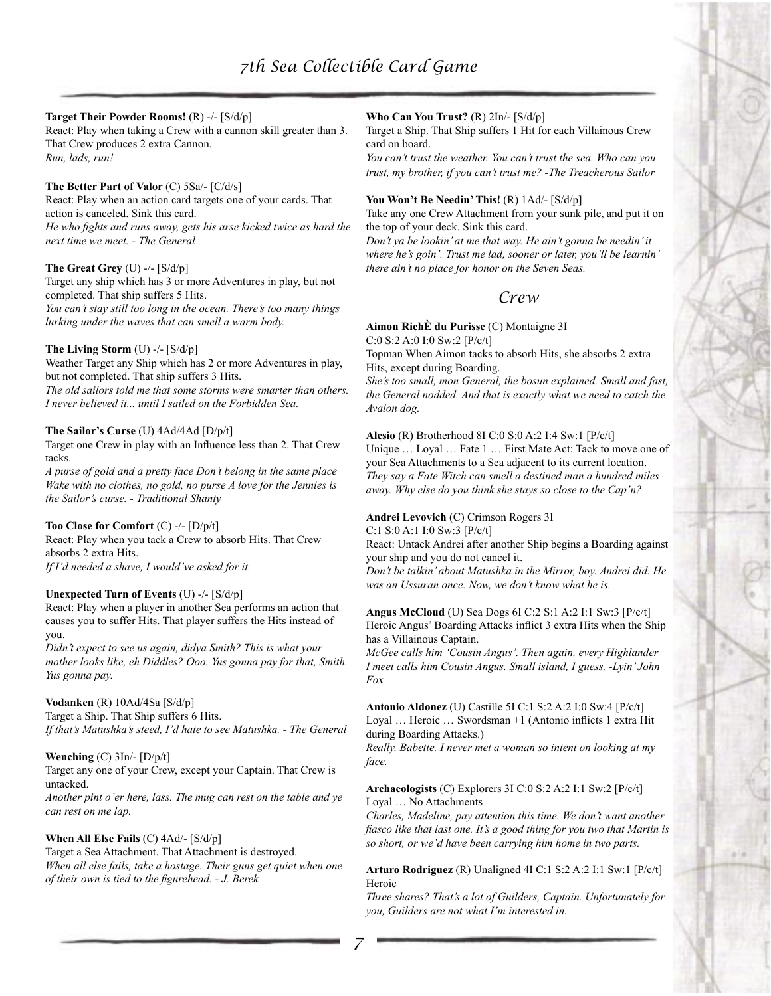#### **Target Their Powder Rooms!** (R) -/- [S/d/p]

React: Play when taking a Crew with a cannon skill greater than 3. That Crew produces 2 extra Cannon. *Run, lads, run!*

#### **The Better Part of Valor** (C) 5Sa/- [C/d/s]

React: Play when an action card targets one of your cards. That action is canceled. Sink this card. *He who fights and runs away, gets his arse kicked twice as hard the next time we meet. - The General*

#### **The Great Grey** (U) -/- [S/d/p]

Target any ship which has 3 or more Adventures in play, but not completed. That ship suffers 5 Hits. *You can't stay still too long in the ocean. There's too many things lurking under the waves that can smell a warm body.*

# **The Living Storm** (U) -/- [S/d/p]

Weather Target any Ship which has 2 or more Adventures in play, but not completed. That ship suffers 3 Hits.

*The old sailors told me that some storms were smarter than others. I never believed it... until I sailed on the Forbidden Sea.*

#### **The Sailor's Curse** (U) 4Ad/4Ad [D/p/t]

Target one Crew in play with an Influence less than 2. That Crew tacks.

*A purse of gold and a pretty face Don't belong in the same place Wake with no clothes, no gold, no purse A love for the Jennies is the Sailor's curse. - Traditional Shanty*

#### **Too Close for Comfort** (C) -/- [D/p/t]

React: Play when you tack a Crew to absorb Hits. That Crew absorbs 2 extra Hits. *If I'd needed a shave, I would've asked for it.*

#### **Unexpected Turn of Events** (U) -/- [S/d/p]

React: Play when a player in another Sea performs an action that causes you to suffer Hits. That player suffers the Hits instead of you.

*Didn't expect to see us again, didya Smith? This is what your mother looks like, eh Diddles? Ooo. Yus gonna pay for that, Smith. Yus gonna pay.*

#### **Vodanken** (R) 10Ad/4Sa [S/d/p]

Target a Ship. That Ship suffers 6 Hits. *If that's Matushka's steed, I'd hate to see Matushka. - The General*

#### **Wenching** (C) 3In/- [D/p/t]

Target any one of your Crew, except your Captain. That Crew is untacked.

*Another pint o'er here, lass. The mug can rest on the table and ye can rest on me lap.*

### **When All Else Fails** (C) 4Ad/- [S/d/p]

Target a Sea Attachment. That Attachment is destroyed. *When all else fails, take a hostage. Their guns get quiet when one of their own is tied to the figurehead. - J. Berek*

# **Who Can You Trust?** (R) 2In/- [S/d/p]

Target a Ship. That Ship suffers 1 Hit for each Villainous Crew card on board.

*You can't trust the weather. You can't trust the sea. Who can you trust, my brother, if you can't trust me? -The Treacherous Sailor*

#### **You Won't Be Needin' This!** (R) 1Ad/- [S/d/p]

Take any one Crew Attachment from your sunk pile, and put it on the top of your deck. Sink this card.

*Don't ya be lookin' at me that way. He ain't gonna be needin' it where he's goin'. Trust me lad, sooner or later, you'll be learnin' there ain't no place for honor on the Seven Seas.*

# *Crew*

#### **Aimon RichÈ du Purisse** (C) Montaigne 3I

C:0 S:2 A:0 I:0 Sw:2 [P/c/t]

Topman When Aimon tacks to absorb Hits, she absorbs 2 extra Hits, except during Boarding.

*She's too small, mon General, the bosun explained. Small and fast, the General nodded. And that is exactly what we need to catch the Avalon dog.*

# **Alesio** (R) Brotherhood 8I C:0 S:0 A:2 I:4 Sw:1 [P/c/t]

Unique … Loyal … Fate 1 … First Mate Act: Tack to move one of your Sea Attachments to a Sea adjacent to its current location. *They say a Fate Witch can smell a destined man a hundred miles away. Why else do you think she stays so close to the Cap'n?*

# **Andrei Levovich** (C) Crimson Rogers 3I

C:1 S:0 A:1 I:0 Sw:3 [P/c/t]

React: Untack Andrei after another Ship begins a Boarding against your ship and you do not cancel it.

*Don't be talkin' about Matushka in the Mirror, boy. Andrei did. He was an Ussuran once. Now, we don't know what he is.*

**Angus McCloud** (U) Sea Dogs 6I C:2 S:1 A:2 I:1 Sw:3 [P/c/t] Heroic Angus' Boarding Attacks inflict 3 extra Hits when the Ship has a Villainous Captain.

*McGee calls him 'Cousin Angus'. Then again, every Highlander I meet calls him Cousin Angus. Small island, I guess. -Lyin' John Fox*

**Antonio Aldonez** (U) Castille 5I C:1 S:2 A:2 I:0 Sw:4 [P/c/t] Loyal … Heroic … Swordsman +1 (Antonio inflicts 1 extra Hit during Boarding Attacks.)

*Really, Babette. I never met a woman so intent on looking at my face.*

#### **Archaeologists** (C) Explorers 3I C:0 S:2 A:2 I:1 Sw:2 [P/c/t] Loyal … No Attachments

*Charles, Madeline, pay attention this time. We don't want another fiasco like that last one. It's a good thing for you two that Martin is so short, or we'd have been carrying him home in two parts.*

#### **Arturo Rodriguez** (R) Unaligned 4I C:1 S:2 A:2 I:1 Sw:1 [P/c/t] Heroic

*Three shares? That's a lot of Guilders, Captain. Unfortunately for you, Guilders are not what I'm interested in.*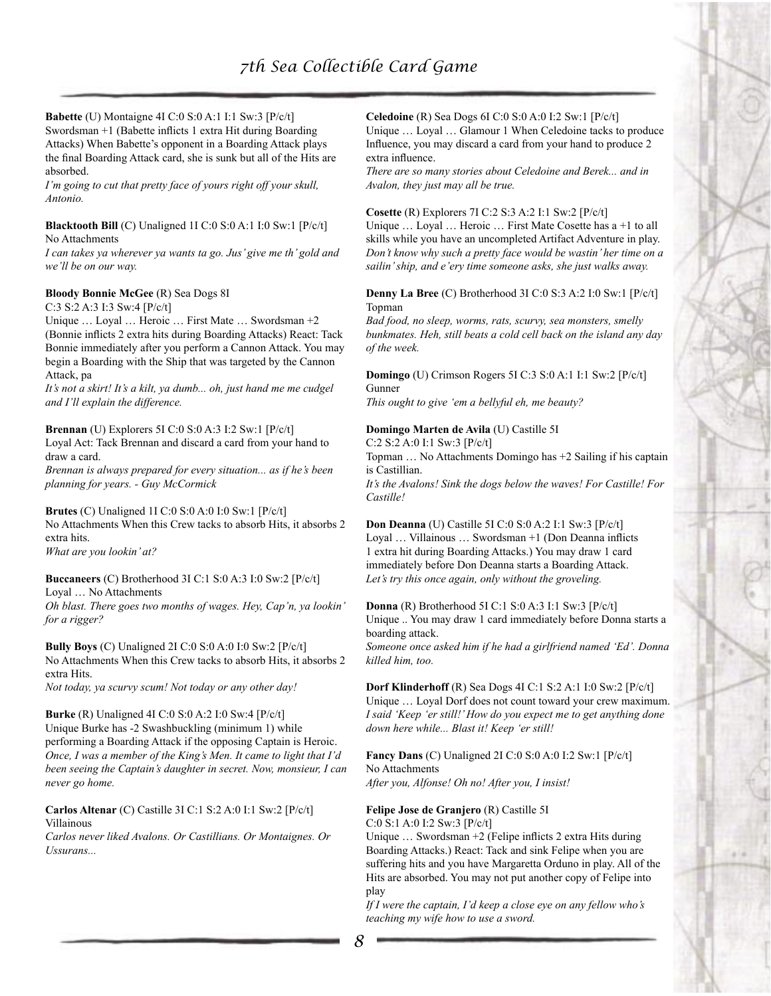#### **Babette** (U) Montaigne 4I C:0 S:0 A:1 I:1 Sw:3 [P/c/t] Swordsman +1 (Babette inflicts 1 extra Hit during Boarding Attacks) When Babette's opponent in a Boarding Attack plays the final Boarding Attack card, she is sunk but all of the Hits are absorbed.

*I'm going to cut that pretty face of yours right off your skull, Antonio.*

#### **Blacktooth Bill** (C) Unaligned 1I C:0 S:0 A:1 I:0 Sw:1 [P/c/t] No Attachments

*I can takes ya wherever ya wants ta go. Jus' give me th' gold and we'll be on our way.*

# **Bloody Bonnie McGee** (R) Sea Dogs 8I

C:3 S:2 A:3 I:3 Sw:4 [P/c/t]

Unique … Loyal … Heroic … First Mate … Swordsman +2 (Bonnie inflicts 2 extra hits during Boarding Attacks) React: Tack Bonnie immediately after you perform a Cannon Attack. You may begin a Boarding with the Ship that was targeted by the Cannon Attack, pa

*It's not a skirt! It's a kilt, ya dumb... oh, just hand me me cudgel and I'll explain the difference.*

#### **Brennan** (U) Explorers 5I C:0 S:0 A:3 I:2 Sw:1 [P/c/t] Loyal Act: Tack Brennan and discard a card from your hand to draw a card.

*Brennan is always prepared for every situation... as if he's been planning for years. - Guy McCormick*

**Brutes** (C) Unaligned 1I C:0 S:0 A:0 I:0 Sw:1 [P/c/t] No Attachments When this Crew tacks to absorb Hits, it absorbs 2 extra hits.

*What are you lookin' at?*

**Buccaneers** (C) Brotherhood 3I C:1 S:0 A:3 I:0 Sw:2 [P/c/t] Loyal … No Attachments

*Oh blast. There goes two months of wages. Hey, Cap'n, ya lookin' for a rigger?*

**Bully Boys** (C) Unaligned 2I C:0 S:0 A:0 I:0 Sw:2 [P/c/t] No Attachments When this Crew tacks to absorb Hits, it absorbs 2 extra Hits.

*Not today, ya scurvy scum! Not today or any other day!*

**Burke** (R) Unaligned 4I C:0 S:0 A:2 I:0 Sw:4 [P/c/t] Unique Burke has -2 Swashbuckling (minimum 1) while performing a Boarding Attack if the opposing Captain is Heroic. *Once, I was a member of the King's Men. It came to light that I'd been seeing the Captain's daughter in secret. Now, monsieur, I can never go home.*

**Carlos Altenar** (C) Castille 3I C:1 S:2 A:0 I:1 Sw:2 [P/c/t] Villainous

*Carlos never liked Avalons. Or Castillians. Or Montaignes. Or Ussurans...*

#### **Celedoine** (R) Sea Dogs 6I C:0 S:0 A:0 I:2 Sw:1 [P/c/t] Unique … Loyal … Glamour 1 When Celedoine tacks to produce Influence, you may discard a card from your hand to produce 2 extra influence.

*There are so many stories about Celedoine and Berek... and in Avalon, they just may all be true.*

# **Cosette** (R) Explorers 7I C:2 S:3 A:2 I:1 Sw:2 [P/c/t]

Unique … Loyal … Heroic … First Mate Cosette has a +1 to all skills while you have an uncompleted Artifact Adventure in play. *Don't know why such a pretty face would be wastin' her time on a sailin' ship, and e'ery time someone asks, she just walks away.*

#### **Denny La Bree** (C) Brotherhood 3I C:0 S:3 A:2 I:0 Sw:1 [P/c/t] Topman

*Bad food, no sleep, worms, rats, scurvy, sea monsters, smelly bunkmates. Heh, still beats a cold cell back on the island any day of the week.*

# **Domingo** (U) Crimson Rogers 5I C:3 S:0 A:1 I:1 Sw:2 [P/c/t] Gunner

*This ought to give 'em a bellyful eh, me beauty?*

# **Domingo Marten de Avila** (U) Castille 5I

C:2 S:2 A:0 I:1 Sw:3 [P/c/t]

Topman … No Attachments Domingo has +2 Sailing if his captain is Castillian.

*It's the Avalons! Sink the dogs below the waves! For Castille! For Castille!*

**Don Deanna** (U) Castille 5I C:0 S:0 A:2 I:1 Sw:3 [P/c/t] Loyal … Villainous … Swordsman +1 (Don Deanna inflicts 1 extra hit during Boarding Attacks.) You may draw 1 card immediately before Don Deanna starts a Boarding Attack. *Let's try this once again, only without the groveling.*

**Donna** (R) Brotherhood 5I C:1 S:0 A:3 I:1 Sw:3 [P/c/t] Unique .. You may draw 1 card immediately before Donna starts a boarding attack. *Someone once asked him if he had a girlfriend named 'Ed'. Donna killed him, too.*

**Dorf Klinderhoff** (R) Sea Dogs 4I C:1 S:2 A:1 I:0 Sw:2 [P/c/t] Unique … Loyal Dorf does not count toward your crew maximum. *I said 'Keep 'er still!' How do you expect me to get anything done down here while... Blast it! Keep 'er still!*

**Fancy Dans** (C) Unaligned 2I C:0 S:0 A:0 I:2 Sw:1 [P/c/t] No Attachments *After you, Alfonse! Oh no! After you, I insist!*

# **Felipe Jose de Granjero** (R) Castille 5I

C:0 S:1 A:0 I:2 Sw:3 [P/c/t]

Unique … Swordsman +2 (Felipe inflicts 2 extra Hits during Boarding Attacks.) React: Tack and sink Felipe when you are suffering hits and you have Margaretta Orduno in play. All of the Hits are absorbed. You may not put another copy of Felipe into play

*If I were the captain, I'd keep a close eye on any fellow who's teaching my wife how to use a sword.*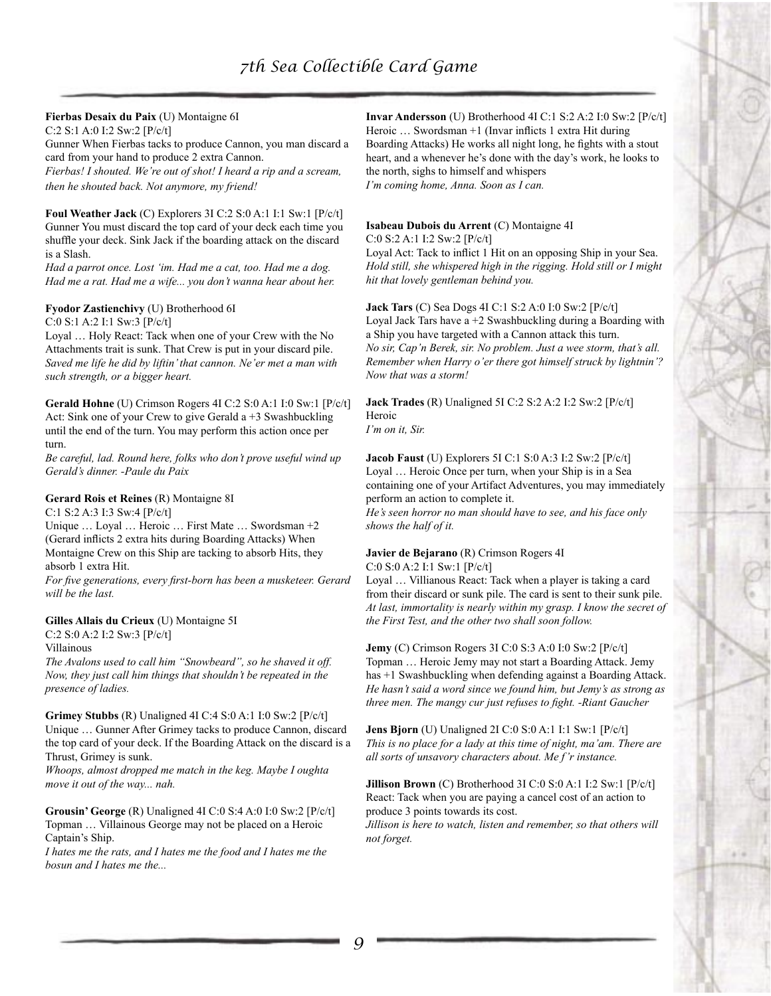# **Fierbas Desaix du Paix** (U) Montaigne 6I

C:2 S:1 A:0 I:2 Sw:2 [P/c/t] Gunner When Fierbas tacks to produce Cannon, you man discard a card from your hand to produce 2 extra Cannon. *Fierbas! I shouted. We're out of shot! I heard a rip and a scream, then he shouted back. Not anymore, my friend!*

**Foul Weather Jack** (C) Explorers 3I C:2 S:0 A:1 I:1 Sw:1 [P/c/t] Gunner You must discard the top card of your deck each time you shuffle your deck. Sink Jack if the boarding attack on the discard is a Slash.

*Had a parrot once. Lost 'im. Had me a cat, too. Had me a dog. Had me a rat. Had me a wife... you don't wanna hear about her.*

# **Fyodor Zastienchivy** (U) Brotherhood 6I

C:0 S:1 A:2 I:1 Sw:3 [P/c/t]

Loyal … Holy React: Tack when one of your Crew with the No Attachments trait is sunk. That Crew is put in your discard pile. *Saved me life he did by liftin' that cannon. Ne'er met a man with such strength, or a bigger heart.*

**Gerald Hohne** (U) Crimson Rogers 4I C:2 S:0 A:1 I:0 Sw:1 [P/c/t] Act: Sink one of your Crew to give Gerald a +3 Swashbuckling until the end of the turn. You may perform this action once per turn.

*Be careful, lad. Round here, folks who don't prove useful wind up Gerald's dinner. -Paule du Paix*

# **Gerard Rois et Reines** (R) Montaigne 8I

C:1 S:2 A:3 I:3 Sw:4 [P/c/t] Unique … Loyal … Heroic … First Mate … Swordsman +2 (Gerard inflicts 2 extra hits during Boarding Attacks) When Montaigne Crew on this Ship are tacking to absorb Hits, they absorb 1 extra Hit.

*For five generations, every first-born has been a musketeer. Gerard will be the last.*

# **Gilles Allais du Crieux** (U) Montaigne 5I

C:2 S:0 A:2 I:2 Sw:3 [P/c/t]

Villainous

*The Avalons used to call him "Snowbeard", so he shaved it off. Now, they just call him things that shouldn't be repeated in the presence of ladies.*

**Grimey Stubbs** (R) Unaligned 4I C:4 S:0 A:1 I:0 Sw:2 [P/c/t] Unique … Gunner After Grimey tacks to produce Cannon, discard the top card of your deck. If the Boarding Attack on the discard is a Thrust, Grimey is sunk.

*Whoops, almost dropped me match in the keg. Maybe I oughta move it out of the way... nah.*

**Grousin' George** (R) Unaligned 4I C:0 S:4 A:0 I:0 Sw:2 [P/c/t] Topman … Villainous George may not be placed on a Heroic Captain's Ship.

*I hates me the rats, and I hates me the food and I hates me the bosun and I hates me the...*

**Invar Andersson** (U) Brotherhood 4I C:1 S:2 A:2 I:0 Sw:2 [P/c/t] Heroic … Swordsman +1 (Invar inflicts 1 extra Hit during Boarding Attacks) He works all night long, he fights with a stout heart, and a whenever he's done with the day's work, he looks to the north, sighs to himself and whispers *I'm coming home, Anna. Soon as I can.*

# **Isabeau Dubois du Arrent** (C) Montaigne 4I

C:0 S:2 A:1 I:2 Sw:2 [P/c/t]

Loyal Act: Tack to inflict 1 Hit on an opposing Ship in your Sea. *Hold still, she whispered high in the rigging. Hold still or I might hit that lovely gentleman behind you.*

**Jack Tars** (C) Sea Dogs 4I C:1 S:2 A:0 I:0 Sw:2 [P/c/t] Loyal Jack Tars have  $a + 2$  Swashbuckling during a Boarding with a Ship you have targeted with a Cannon attack this turn. *No sir, Cap'n Berek, sir. No problem. Just a wee storm, that's all. Remember when Harry o'er there got himself struck by lightnin'? Now that was a storm!*

**Jack Trades** (R) Unaligned 5I C:2 S:2 A:2 I:2 Sw:2 [P/c/t] Heroic

*I'm on it, Sir.*

**Jacob Faust** (U) Explorers 5I C:1 S:0 A:3 I:2 Sw:2 [P/c/t] Loyal … Heroic Once per turn, when your Ship is in a Sea containing one of your Artifact Adventures, you may immediately perform an action to complete it.

*He's seen horror no man should have to see, and his face only shows the half of it.*

# **Javier de Bejarano** (R) Crimson Rogers 4I

C:0 S:0 A:2 I:1 Sw:1 [P/c/t]

Loyal … Villianous React: Tack when a player is taking a card from their discard or sunk pile. The card is sent to their sunk pile. *At last, immortality is nearly within my grasp. I know the secret of the First Test, and the other two shall soon follow.*

**Jemy** (C) Crimson Rogers 3I C:0 S:3 A:0 I:0 Sw:2 [P/c/t] Topman … Heroic Jemy may not start a Boarding Attack. Jemy has +1 Swashbuckling when defending against a Boarding Attack. *He hasn't said a word since we found him, but Jemy's as strong as three men. The mangy cur just refuses to fight. -Riant Gaucher*

**Jens Bjorn** (U) Unaligned 2I C:0 S:0 A:1 I:1 Sw:1 [P/c/t] *This is no place for a lady at this time of night, ma'am. There are all sorts of unsavory characters about. Me f'r instance.*

**Jillison Brown** (C) Brotherhood 3I C:0 S:0 A:1 I:2 Sw:1 [P/c/t] React: Tack when you are paying a cancel cost of an action to produce 3 points towards its cost.

*Jillison is here to watch, listen and remember, so that others will not forget.*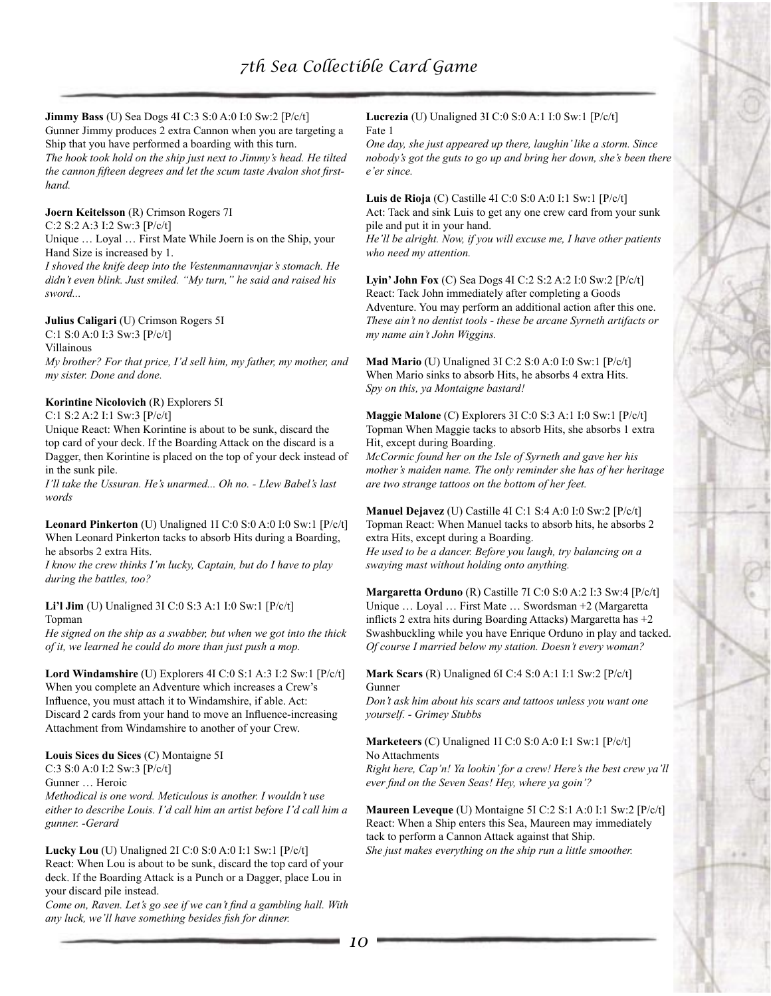#### **Jimmy Bass** (U) Sea Dogs 4I C:3 S:0 A:0 I:0 Sw:2 [P/c/t] Gunner Jimmy produces 2 extra Cannon when you are targeting a Ship that you have performed a boarding with this turn. *The hook took hold on the ship just next to Jimmy's head. He tilted the cannon fifteen degrees and let the scum taste Avalon shot firsthand.*

**Joern Keitelsson** (R) Crimson Rogers 7I

C:2 S:2 A:3 I:2 Sw:3 [P/c/t]

Unique … Loyal … First Mate While Joern is on the Ship, your Hand Size is increased by 1.

*I shoved the knife deep into the Vestenmannavnjar's stomach. He didn't even blink. Just smiled. "My turn," he said and raised his sword...*

#### **Julius Caligari** (U) Crimson Rogers 5I

C:1 S:0 A:0 I:3 Sw:3 [P/c/t]

Villainous

*My brother? For that price, I'd sell him, my father, my mother, and my sister. Done and done.*

#### **Korintine Nicolovich** (R) Explorers 5I

C:1 S:2 A:2 I:1 Sw:3 [P/c/t]

Unique React: When Korintine is about to be sunk, discard the top card of your deck. If the Boarding Attack on the discard is a Dagger, then Korintine is placed on the top of your deck instead of in the sunk pile.

*I'll take the Ussuran. He's unarmed... Oh no. - Llew Babel's last words*

**Leonard Pinkerton** (U) Unaligned 1I C:0 S:0 A:0 I:0 Sw:1 [P/c/t] When Leonard Pinkerton tacks to absorb Hits during a Boarding, he absorbs 2 extra Hits.

*I know the crew thinks I'm lucky, Captain, but do I have to play during the battles, too?*

# **Li'l Jim** (U) Unaligned 3I C:0 S:3 A:1 I:0 Sw:1 [P/c/t] Topman

*He signed on the ship as a swabber, but when we got into the thick of it, we learned he could do more than just push a mop.*

**Lord Windamshire** (U) Explorers 4I C:0 S:1 A:3 I:2 Sw:1 [P/c/t] When you complete an Adventure which increases a Crew's Influence, you must attach it to Windamshire, if able. Act: Discard 2 cards from your hand to move an Influence-increasing Attachment from Windamshire to another of your Crew.

#### **Louis Sices du Sices** (C) Montaigne 5I

C:3 S:0 A:0 I:2 Sw:3 [P/c/t]

Gunner … Heroic

*Methodical is one word. Meticulous is another. I wouldn't use either to describe Louis. I'd call him an artist before I'd call him a gunner. -Gerard*

**Lucky Lou** (U) Unaligned 2I C:0 S:0 A:0 I:1 Sw:1 [P/c/t] React: When Lou is about to be sunk, discard the top card of your deck. If the Boarding Attack is a Punch or a Dagger, place Lou in your discard pile instead.

*Come on, Raven. Let's go see if we can't find a gambling hall. With any luck, we'll have something besides fish for dinner.*

**Lucrezia** (U) Unaligned 3I C:0 S:0 A:1 I:0 Sw:1 [P/c/t] Fate 1

*One day, she just appeared up there, laughin' like a storm. Since nobody's got the guts to go up and bring her down, she's been there e'er since.*

**Luis de Rioja** (C) Castille 4I C:0 S:0 A:0 I:1 Sw:1 [P/c/t] Act: Tack and sink Luis to get any one crew card from your sunk pile and put it in your hand.

*He'll be alright. Now, if you will excuse me, I have other patients who need my attention.*

**Lyin' John Fox** (C) Sea Dogs 4I C:2 S:2 A:2 I:0 Sw:2 [P/c/t] React: Tack John immediately after completing a Goods Adventure. You may perform an additional action after this one. *These ain't no dentist tools - these be arcane Syrneth artifacts or my name ain't John Wiggins.*

**Mad Mario** (U) Unaligned 3I C:2 S:0 A:0 I:0 Sw:1 [P/c/t] When Mario sinks to absorb Hits, he absorbs 4 extra Hits. *Spy on this, ya Montaigne bastard!*

**Maggie Malone** (C) Explorers 3I C:0 S:3 A:1 I:0 Sw:1 [P/c/t] Topman When Maggie tacks to absorb Hits, she absorbs 1 extra Hit, except during Boarding.

*McCormic found her on the Isle of Syrneth and gave her his mother's maiden name. The only reminder she has of her heritage are two strange tattoos on the bottom of her feet.*

**Manuel Dejavez** (U) Castille 4I C:1 S:4 A:0 I:0 Sw:2 [P/c/t] Topman React: When Manuel tacks to absorb hits, he absorbs 2 extra Hits, except during a Boarding.

*He used to be a dancer. Before you laugh, try balancing on a swaying mast without holding onto anything.*

**Margaretta Orduno** (R) Castille 7I C:0 S:0 A:2 I:3 Sw:4 [P/c/t] Unique … Loyal … First Mate … Swordsman +2 (Margaretta inflicts 2 extra hits during Boarding Attacks) Margaretta has +2 Swashbuckling while you have Enrique Orduno in play and tacked. *Of course I married below my station. Doesn't every woman?*

**Mark Scars** (R) Unaligned 6I C:4 S:0 A:1 I:1 Sw:2 [P/c/t] Gunner

*Don't ask him about his scars and tattoos unless you want one yourself. - Grimey Stubbs*

**Marketeers** (C) Unaligned 1I C:0 S:0 A:0 I:1 Sw:1 [P/c/t] No Attachments

*Right here, Cap'n! Ya lookin' for a crew! Here's the best crew ya'll ever find on the Seven Seas! Hey, where ya goin'?*

**Maureen Leveque** (U) Montaigne 5I C:2 S:1 A:0 I:1 Sw:2 [P/c/t] React: When a Ship enters this Sea, Maureen may immediately tack to perform a Cannon Attack against that Ship. *She just makes everything on the ship run a little smoother.*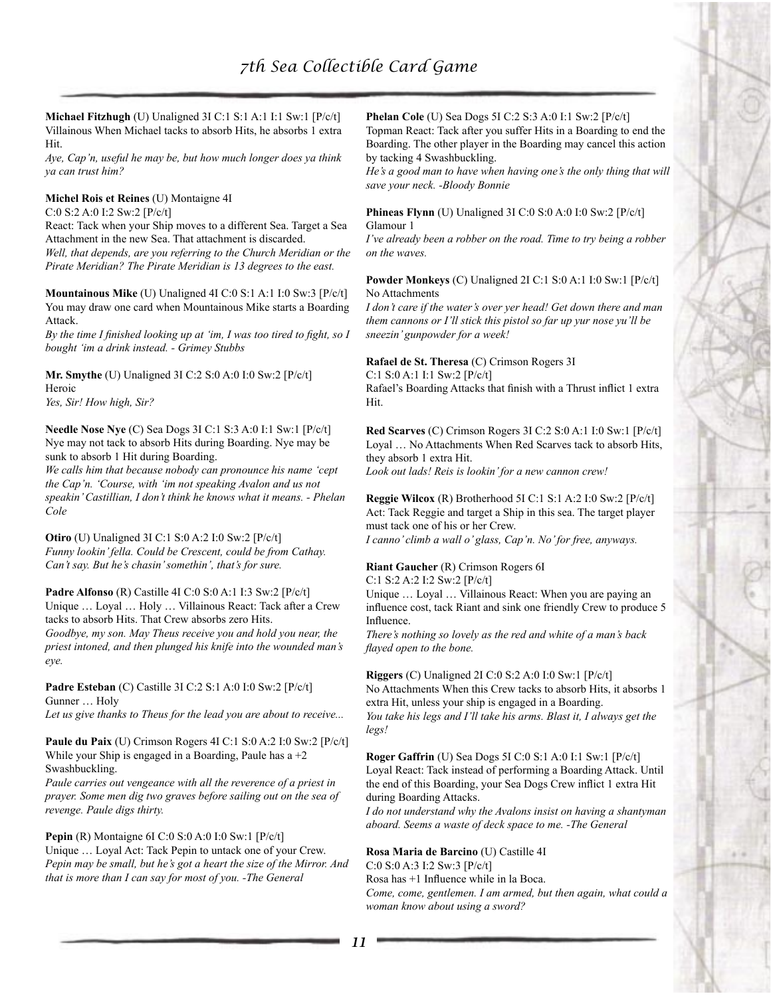**Michael Fitzhugh** (U) Unaligned 3I C:1 S:1 A:1 I:1 Sw:1 [P/c/t] Villainous When Michael tacks to absorb Hits, he absorbs 1 extra Hit.

*Aye, Cap'n, useful he may be, but how much longer does ya think ya can trust him?*

#### **Michel Rois et Reines** (U) Montaigne 4I

C:0 S:2 A:0 I:2 Sw:2 [P/c/t]

React: Tack when your Ship moves to a different Sea. Target a Sea Attachment in the new Sea. That attachment is discarded. *Well, that depends, are you referring to the Church Meridian or the Pirate Meridian? The Pirate Meridian is 13 degrees to the east.*

**Mountainous Mike** (U) Unaligned 4I C:0 S:1 A:1 I:0 Sw:3 [P/c/t] You may draw one card when Mountainous Mike starts a Boarding Attack.

*By the time I finished looking up at 'im, I was too tired to fight, so I bought 'im a drink instead. - Grimey Stubbs*

**Mr. Smythe** (U) Unaligned 3I C:2 S:0 A:0 I:0 Sw:2 [P/c/t] Heroic

*Yes, Sir! How high, Sir?*

**Needle Nose Nye** (C) Sea Dogs 3I C:1 S:3 A:0 I:1 Sw:1 [P/c/t] Nye may not tack to absorb Hits during Boarding. Nye may be sunk to absorb 1 Hit during Boarding.

*We calls him that because nobody can pronounce his name 'cept the Cap'n. 'Course, with 'im not speaking Avalon and us not speakin' Castillian, I don't think he knows what it means. - Phelan Cole*

**Otiro** (U) Unaligned 3I C:1 S:0 A:2 I:0 Sw:2 [P/c/t] *Funny lookin' fella. Could be Crescent, could be from Cathay. Can't say. But he's chasin' somethin', that's for sure.*

**Padre Alfonso** (R) Castille 4I C:0 S:0 A:1 I:3 Sw:2 [P/c/t] Unique … Loyal … Holy … Villainous React: Tack after a Crew tacks to absorb Hits. That Crew absorbs zero Hits. *Goodbye, my son. May Theus receive you and hold you near, the priest intoned, and then plunged his knife into the wounded man's eye.*

**Padre Esteban** (C) Castille 3I C:2 S:1 A:0 I:0 Sw:2 [P/c/t] Gunner … Holy

*Let us give thanks to Theus for the lead you are about to receive...*

**Paule du Paix** (U) Crimson Rogers 4I C:1 S:0 A:2 I:0 Sw:2 [P/c/t] While your Ship is engaged in a Boarding, Paule has  $a + 2$ Swashbuckling.

*Paule carries out vengeance with all the reverence of a priest in prayer. Some men dig two graves before sailing out on the sea of revenge. Paule digs thirty.*

#### **Pepin** (R) Montaigne 6I C:0 S:0 A:0 I:0 Sw:1 [P/c/t]

Unique … Loyal Act: Tack Pepin to untack one of your Crew. *Pepin may be small, but he's got a heart the size of the Mirror. And that is more than I can say for most of you. -The General*

**Phelan Cole** (U) Sea Dogs 5I C:2 S:3 A:0 I:1 Sw:2 [P/c/t]

Topman React: Tack after you suffer Hits in a Boarding to end the Boarding. The other player in the Boarding may cancel this action by tacking 4 Swashbuckling.

*He's a good man to have when having one's the only thing that will save your neck. -Bloody Bonnie*

#### **Phineas Flynn** (U) Unaligned 3I C:0 S:0 A:0 I:0 Sw:2 [P/c/t] Glamour 1

*I've already been a robber on the road. Time to try being a robber on the waves.*

#### **Powder Monkeys** (C) Unaligned 2I C:1 S:0 A:1 I:0 Sw:1 [P/c/t] No Attachments

*I don't care if the water's over yer head! Get down there and man them cannons or I'll stick this pistol so far up yur nose yu'll be sneezin' gunpowder for a week!*

**Rafael de St. Theresa** (C) Crimson Rogers 3I

C:1 S:0 A:1 I:1 Sw:2 [P/c/t] Rafael's Boarding Attacks that finish with a Thrust inflict 1 extra Hit.

**Red Scarves** (C) Crimson Rogers 3I C:2 S:0 A:1 I:0 Sw:1 [P/c/t] Loyal … No Attachments When Red Scarves tack to absorb Hits, they absorb 1 extra Hit.

*Look out lads! Reis is lookin' for a new cannon crew!*

**Reggie Wilcox** (R) Brotherhood 5I C:1 S:1 A:2 I:0 Sw:2 [P/c/t] Act: Tack Reggie and target a Ship in this sea. The target player must tack one of his or her Crew. *I canno' climb a wall o' glass, Cap'n. No' for free, anyways.*

# **Riant Gaucher** (R) Crimson Rogers 6I

C:1 S:2 A:2 I:2 Sw:2 [P/c/t]

Unique … Loyal … Villainous React: When you are paying an influence cost, tack Riant and sink one friendly Crew to produce 5 Influence.

*There's nothing so lovely as the red and white of a man's back flayed open to the bone.*

**Riggers** (C) Unaligned 2I C:0 S:2 A:0 I:0 Sw:1 [P/c/t] No Attachments When this Crew tacks to absorb Hits, it absorbs 1 extra Hit, unless your ship is engaged in a Boarding. *You take his legs and I'll take his arms. Blast it, I always get the legs!*

**Roger Gaffrin** (U) Sea Dogs 5I C:0 S:1 A:0 I:1 Sw:1 [P/c/t] Loyal React: Tack instead of performing a Boarding Attack. Until the end of this Boarding, your Sea Dogs Crew inflict 1 extra Hit during Boarding Attacks.

*I do not understand why the Avalons insist on having a shantyman aboard. Seems a waste of deck space to me. -The General*

#### **Rosa Maria de Barcino** (U) Castille 4I

C:0 S:0 A:3 I:2 Sw:3 [P/c/t] Rosa has +1 Influence while in la Boca. *Come, come, gentlemen. I am armed, but then again, what could a woman know about using a sword?*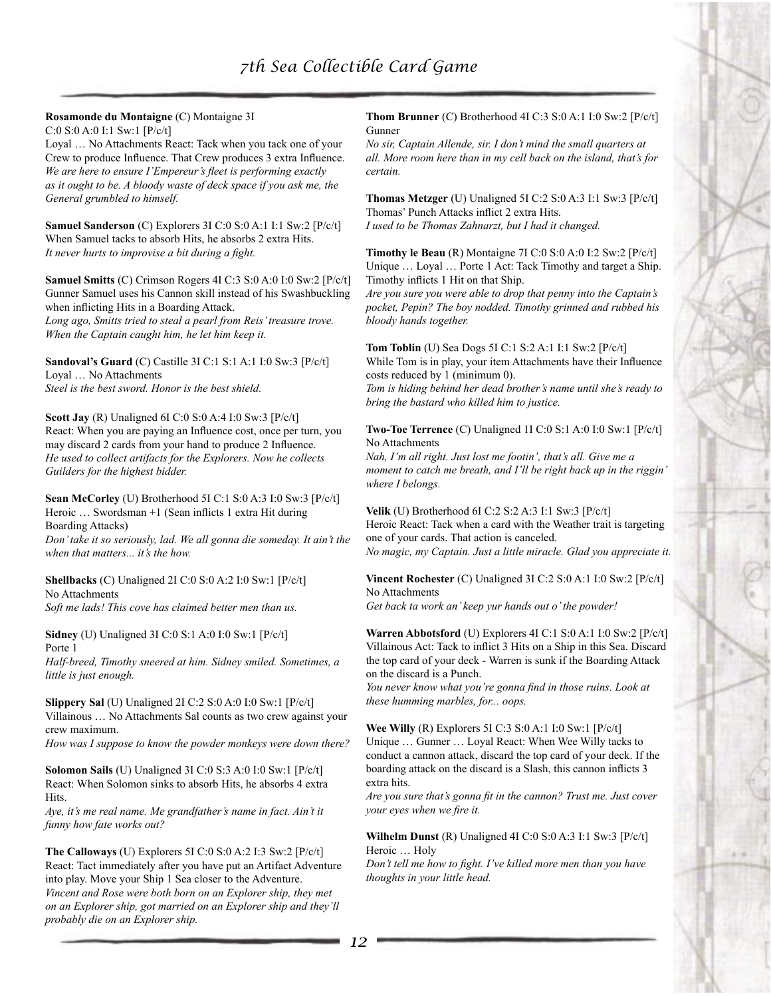# **Rosamonde du Montaigne** (C) Montaigne 3I

C:0 S:0 A:0 I:1 Sw:1 [P/c/t]

Loyal … No Attachments React: Tack when you tack one of your Crew to produce Influence. That Crew produces 3 extra Influence. *We are here to ensure I'Empereur's fleet is performing exactly as it ought to be. A bloody waste of deck space if you ask me, the General grumbled to himself.*

**Samuel Sanderson** (C) Explorers 3I C:0 S:0 A:1 I:1 Sw:2 [P/c/t] When Samuel tacks to absorb Hits, he absorbs 2 extra Hits. *It never hurts to improvise a bit during a fight.*

**Samuel Smitts** (C) Crimson Rogers 4I C:3 S:0 A:0 I:0 Sw:2 [P/c/t] Gunner Samuel uses his Cannon skill instead of his Swashbuckling when inflicting Hits in a Boarding Attack.

*Long ago, Smitts tried to steal a pearl from Reis' treasure trove. When the Captain caught him, he let him keep it.*

**Sandoval's Guard** (C) Castille 3I C:1 S:1 A:1 I:0 Sw:3 [P/c/t] Loyal … No Attachments *Steel is the best sword. Honor is the best shield.*

**Scott Jay** (R) Unaligned 6I C:0 S:0 A:4 I:0 Sw:3 [P/c/t] React: When you are paying an Influence cost, once per turn, you may discard 2 cards from your hand to produce 2 Influence. *He used to collect artifacts for the Explorers. Now he collects Guilders for the highest bidder.*

**Sean McCorley** (U) Brotherhood 5I C:1 S:0 A:3 I:0 Sw:3 [P/c/t] Heroic … Swordsman +1 (Sean inflicts 1 extra Hit during Boarding Attacks)

*Don' take it so seriously, lad. We all gonna die someday. It ain't the when that matters... it's the how.*

**Shellbacks** (C) Unaligned 2I C:0 S:0 A:2 I:0 Sw:1 [P/c/t] No Attachments

*Soft me lads! This cove has claimed better men than us.*

**Sidney** (U) Unaligned 3I C:0 S:1 A:0 I:0 Sw:1 [P/c/t] Porte 1

*Half-breed, Timothy sneered at him. Sidney smiled. Sometimes, a little is just enough.*

**Slippery Sal** (U) Unaligned 2I C:2 S:0 A:0 I:0 Sw:1 [P/c/t] Villainous … No Attachments Sal counts as two crew against your crew maximum.

*How was I suppose to know the powder monkeys were down there?*

**Solomon Sails** (U) Unaligned 3I C:0 S:3 A:0 I:0 Sw:1 [P/c/t] React: When Solomon sinks to absorb Hits, he absorbs 4 extra Hits.

*Aye, it's me real name. Me grandfather's name in fact. Ain't it funny how fate works out?*

**The Calloways** (U) Explorers 5I C:0 S:0 A:2 I:3 Sw:2 [P/c/t] React: Tact immediately after you have put an Artifact Adventure into play. Move your Ship 1 Sea closer to the Adventure. *Vincent and Rose were both born on an Explorer ship, they met on an Explorer ship, got married on an Explorer ship and they'll probably die on an Explorer ship.*

**Thom Brunner** (C) Brotherhood 4I C:3 S:0 A:1 I:0 Sw:2 [P/c/t] Gunner

*No sir, Captain Allende, sir. I don't mind the small quarters at all. More room here than in my cell back on the island, that's for certain.*

**Thomas Metzger** (U) Unaligned 5I C:2 S:0 A:3 I:1 Sw:3 [P/c/t] Thomas' Punch Attacks inflict 2 extra Hits. *I used to be Thomas Zahnarzt, but I had it changed.*

**Timothy le Beau** (R) Montaigne 7I C:0 S:0 A:0 I:2 Sw:2 [P/c/t] Unique … Loyal … Porte 1 Act: Tack Timothy and target a Ship. Timothy inflicts 1 Hit on that Ship.

*Are you sure you were able to drop that penny into the Captain's pocket, Pepin? The boy nodded. Timothy grinned and rubbed his bloody hands together.*

**Tom Toblin** (U) Sea Dogs 5I C:1 S:2 A:1 I:1 Sw:2 [P/c/t] While Tom is in play, your item Attachments have their Influence costs reduced by 1 (minimum 0).

*Tom is hiding behind her dead brother's name until she's ready to bring the bastard who killed him to justice.*

**Two-Toe Terrence** (C) Unaligned 1I C:0 S:1 A:0 I:0 Sw:1 [P/c/t] No Attachments

*Nah, I'm all right. Just lost me footin', that's all. Give me a moment to catch me breath, and I'll be right back up in the riggin' where I belongs.*

**Velik** (U) Brotherhood 6I C:2 S:2 A:3 I:1 Sw:3 [P/c/t] Heroic React: Tack when a card with the Weather trait is targeting one of your cards. That action is canceled.

*No magic, my Captain. Just a little miracle. Glad you appreciate it.*

**Vincent Rochester** (C) Unaligned 3I C:2 S:0 A:1 I:0 Sw:2 [P/c/t] No Attachments *Get back ta work an' keep yur hands out o' the powder!*

**Warren Abbotsford** (U) Explorers 4I C:1 S:0 A:1 I:0 Sw:2 [P/c/t] Villainous Act: Tack to inflict 3 Hits on a Ship in this Sea. Discard the top card of your deck - Warren is sunk if the Boarding Attack on the discard is a Punch.

*You never know what you're gonna find in those ruins. Look at these humming marbles, for... oops.*

**Wee Willy** (R) Explorers 5I C:3 S:0 A:1 I:0 Sw:1 [P/c/t] Unique … Gunner … Loyal React: When Wee Willy tacks to conduct a cannon attack, discard the top card of your deck. If the boarding attack on the discard is a Slash, this cannon inflicts 3 extra hits.

*Are you sure that's gonna fit in the cannon? Trust me. Just cover your eyes when we fire it.*

**Wilhelm Dunst** (R) Unaligned 4I C:0 S:0 A:3 I:1 Sw:3 [P/c/t] Heroic … Holy

*Don't tell me how to fight. I've killed more men than you have thoughts in your little head.*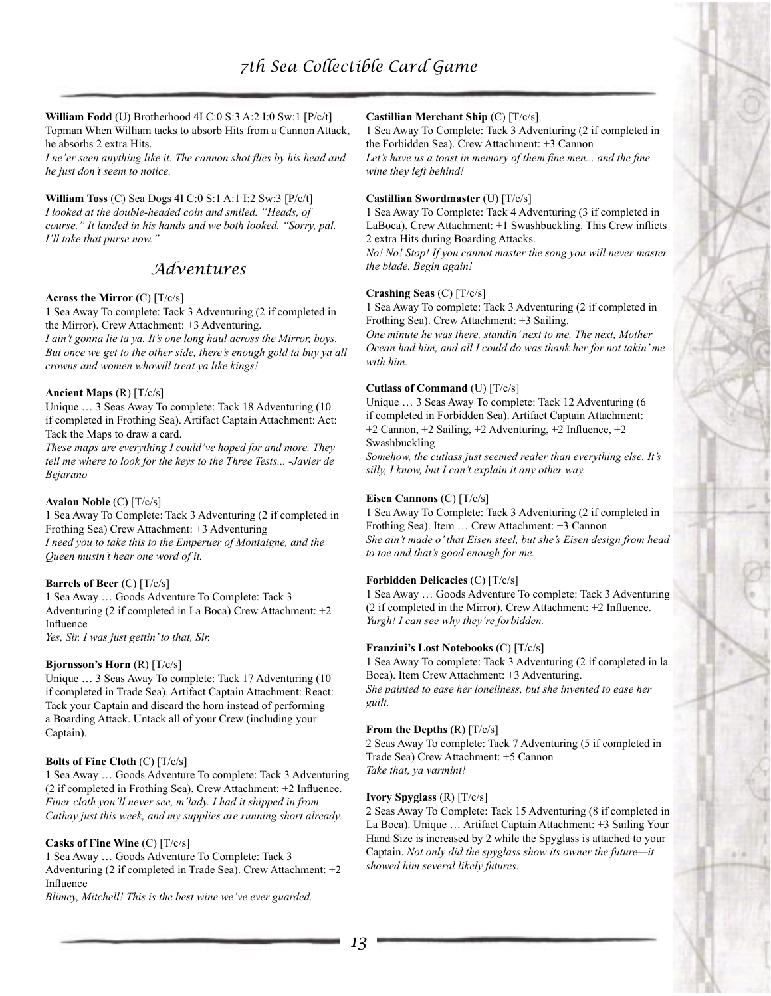**William Fodd** (U) Brotherhood 4I C:0 S:3 A:2 I:0 Sw:1 [P/c/t] Topman When William tacks to absorb Hits from a Cannon Attack, he absorbs 2 extra Hits.

*I ne'er seen anything like it. The cannon shot flies by his head and he just don't seem to notice.*

#### **William Toss** (C) Sea Dogs 4I C:0 S:1 A:1 I:2 Sw:3 [P/c/t]

*I looked at the double-headed coin and smiled. "Heads, of course." It landed in his hands and we both looked. "Sorry, pal. I'll take that purse now."*

# *Adventures*

#### **Across the Mirror** (C) [T/c/s]

1 Sea Away To complete: Tack 3 Adventuring (2 if completed in the Mirror). Crew Attachment: +3 Adventuring.

*I ain't gonna lie ta ya. It's one long haul across the Mirror, boys. But once we get to the other side, there's enough gold ta buy ya all crowns and women whowill treat ya like kings!*

#### **Ancient Maps** (R) [T/c/s]

Unique … 3 Seas Away To complete: Tack 18 Adventuring (10 if completed in Frothing Sea). Artifact Captain Attachment: Act: Tack the Maps to draw a card.

*These maps are everything I could've hoped for and more. They tell me where to look for the keys to the Three Tests... -Javier de Bejarano*

#### **Avalon Noble** (C) [T/c/s]

1 Sea Away To Complete: Tack 3 Adventuring (2 if completed in Frothing Sea) Crew Attachment: +3 Adventuring *I need you to take this to the Emperuer of Montaigne, and the Queen mustn't hear one word of it.*

#### **Barrels of Beer** (C) [T/c/s]

1 Sea Away … Goods Adventure To Complete: Tack 3 Adventuring (2 if completed in La Boca) Crew Attachment: +2 Influence *Yes, Sir. I was just gettin' to that, Sir.*

#### **Bjornsson's Horn** (R) [T/c/s]

Unique … 3 Seas Away To complete: Tack 17 Adventuring (10 if completed in Trade Sea). Artifact Captain Attachment: React: Tack your Captain and discard the horn instead of performing a Boarding Attack. Untack all of your Crew (including your Captain).

## **Bolts of Fine Cloth** (C) [T/c/s]

1 Sea Away … Goods Adventure To complete: Tack 3 Adventuring (2 if completed in Frothing Sea). Crew Attachment: +2 Influence. *Finer cloth you'll never see, m'lady. I had it shipped in from Cathay just this week, and my supplies are running short already.*

#### **Casks of Fine Wine** (C) [T/c/s]

1 Sea Away … Goods Adventure To Complete: Tack 3 Adventuring (2 if completed in Trade Sea). Crew Attachment: +2 Influence

*Blimey, Mitchell! This is the best wine we've ever guarded.*

#### **Castillian Merchant Ship** (C) [T/c/s]

1 Sea Away To Complete: Tack 3 Adventuring (2 if completed in the Forbidden Sea). Crew Attachment: +3 Cannon *Let's have us a toast in memory of them fine men... and the fine* 

*wine they left behind!*

#### **Castillian Swordmaster** (U) [T/c/s]

1 Sea Away To Complete: Tack 4 Adventuring (3 if completed in LaBoca). Crew Attachment: +1 Swashbuckling. This Crew inflicts 2 extra Hits during Boarding Attacks.

*No! No! Stop! If you cannot master the song you will never master the blade. Begin again!*

#### **Crashing Seas** (C) [T/c/s]

1 Sea Away To complete: Tack 3 Adventuring (2 if completed in Frothing Sea). Crew Attachment: +3 Sailing.

*One minute he was there, standin' next to me. The next, Mother Ocean had him, and all I could do was thank her for not takin' me with him.*

#### **Cutlass of Command** (U) [T/c/s]

Unique … 3 Seas Away To complete: Tack 12 Adventuring (6 if completed in Forbidden Sea). Artifact Captain Attachment: +2 Cannon, +2 Sailing, +2 Adventuring, +2 Influence, +2 Swashbuckling

*Somehow, the cutlass just seemed realer than everything else. It's silly, I know, but I can't explain it any other way.*

#### **Eisen Cannons** (C) [T/c/s]

1 Sea Away To Complete: Tack 3 Adventuring (2 if completed in Frothing Sea). Item … Crew Attachment: +3 Cannon *She ain't made o' that Eisen steel, but she's Eisen design from head to toe and that's good enough for me.*

#### **Forbidden Delicacies** (C) [T/c/s]

1 Sea Away … Goods Adventure To complete: Tack 3 Adventuring (2 if completed in the Mirror). Crew Attachment: +2 Influence. *Yurgh! I can see why they're forbidden.*

#### **Franzini's Lost Notebooks** (C) [T/c/s]

1 Sea Away To complete: Tack 3 Adventuring (2 if completed in la Boca). Item Crew Attachment: +3 Adventuring. *She painted to ease her loneliness, but she invented to ease her guilt.*

#### **From the Depths** (R) [T/c/s]

2 Seas Away To complete: Tack 7 Adventuring (5 if completed in Trade Sea) Crew Attachment: +5 Cannon *Take that, ya varmint!*

#### **Ivory Spyglass** (R) [T/c/s]

2 Seas Away To Complete: Tack 15 Adventuring (8 if completed in La Boca). Unique … Artifact Captain Attachment: +3 Sailing Your Hand Size is increased by 2 while the Spyglass is attached to your Captain. *Not only did the spyglass show its owner the future—it showed him several likely futures.*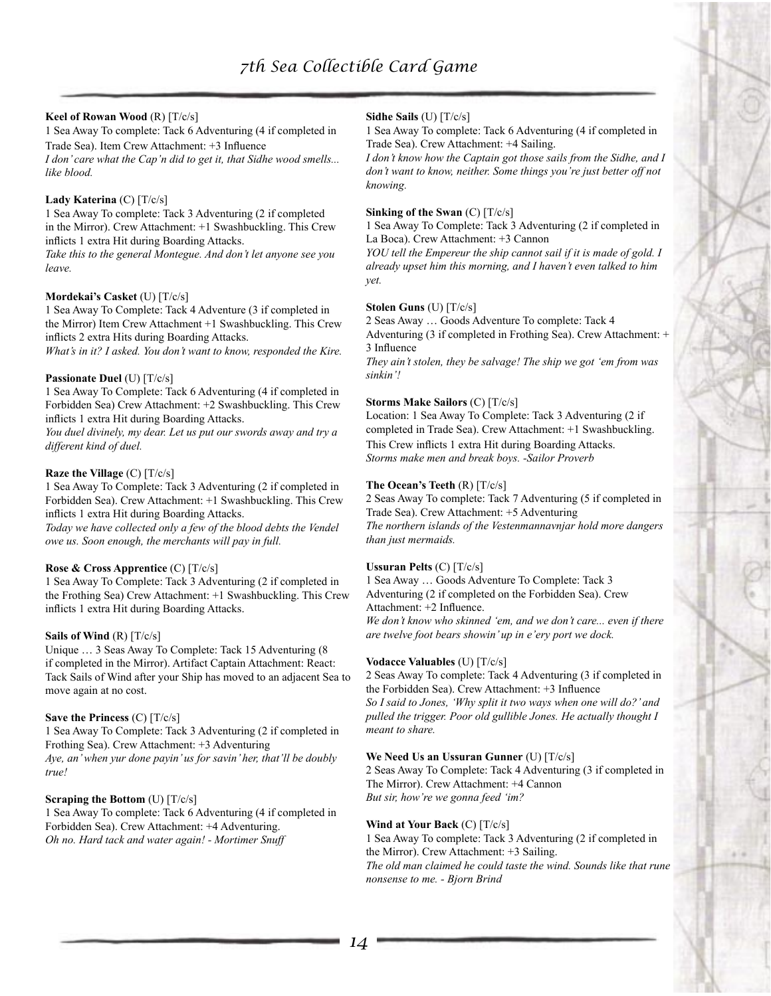#### **Keel of Rowan Wood** (R) [T/c/s]

1 Sea Away To complete: Tack 6 Adventuring (4 if completed in Trade Sea). Item Crew Attachment: +3 Influence

*I don' care what the Cap'n did to get it, that Sidhe wood smells... like blood.*

#### **Lady Katerina** (C) [T/c/s]

1 Sea Away To complete: Tack 3 Adventuring (2 if completed in the Mirror). Crew Attachment: +1 Swashbuckling. This Crew inflicts 1 extra Hit during Boarding Attacks.

*Take this to the general Montegue. And don't let anyone see you leave.*

#### **Mordekai's Casket** (U) [T/c/s]

1 Sea Away To Complete: Tack 4 Adventure (3 if completed in the Mirror) Item Crew Attachment +1 Swashbuckling. This Crew inflicts 2 extra Hits during Boarding Attacks.

*What's in it? I asked. You don't want to know, responded the Kire.*

#### **Passionate Duel** (U) [T/c/s]

1 Sea Away To Complete: Tack 6 Adventuring (4 if completed in Forbidden Sea) Crew Attachment: +2 Swashbuckling. This Crew inflicts 1 extra Hit during Boarding Attacks.

*You duel divinely, my dear. Let us put our swords away and try a different kind of duel.*

#### **Raze the Village** (C) [T/c/s]

1 Sea Away To Complete: Tack 3 Adventuring (2 if completed in Forbidden Sea). Crew Attachment: +1 Swashbuckling. This Crew inflicts 1 extra Hit during Boarding Attacks.

*Today we have collected only a few of the blood debts the Vendel owe us. Soon enough, the merchants will pay in full.*

#### **Rose & Cross Apprentice** (C) [T/c/s]

1 Sea Away To Complete: Tack 3 Adventuring (2 if completed in the Frothing Sea) Crew Attachment: +1 Swashbuckling. This Crew inflicts 1 extra Hit during Boarding Attacks.

#### **Sails of Wind** (R) [T/c/s]

Unique … 3 Seas Away To Complete: Tack 15 Adventuring (8 if completed in the Mirror). Artifact Captain Attachment: React: Tack Sails of Wind after your Ship has moved to an adjacent Sea to move again at no cost.

#### **Save the Princess** (C) [T/c/s]

1 Sea Away To Complete: Tack 3 Adventuring (2 if completed in Frothing Sea). Crew Attachment: +3 Adventuring *Aye, an' when yur done payin' us for savin' her, that'll be doubly true!*

#### **Scraping the Bottom** (U) [T/c/s]

1 Sea Away To complete: Tack 6 Adventuring (4 if completed in Forbidden Sea). Crew Attachment: +4 Adventuring. *Oh no. Hard tack and water again! - Mortimer Snuff*

## **Sidhe Sails** (U) [T/c/s]

1 Sea Away To complete: Tack 6 Adventuring (4 if completed in Trade Sea). Crew Attachment: +4 Sailing.

*I don't know how the Captain got those sails from the Sidhe, and I don't want to know, neither. Some things you're just better off not knowing.*

#### **Sinking of the Swan** (C) [T/c/s]

1 Sea Away To Complete: Tack 3 Adventuring (2 if completed in La Boca). Crew Attachment: +3 Cannon

*YOU tell the Empereur the ship cannot sail if it is made of gold. I already upset him this morning, and I haven't even talked to him yet.*

#### **Stolen Guns** (U) [T/c/s]

2 Seas Away … Goods Adventure To complete: Tack 4 Adventuring (3 if completed in Frothing Sea). Crew Attachment: + 3 Influence

*They ain't stolen, they be salvage! The ship we got 'em from was sinkin'!*

# **Storms Make Sailors** (C) [T/c/s]

Location: 1 Sea Away To Complete: Tack 3 Adventuring (2 if completed in Trade Sea). Crew Attachment: +1 Swashbuckling. This Crew inflicts 1 extra Hit during Boarding Attacks. *Storms make men and break boys. -Sailor Proverb*

#### **The Ocean's Teeth** (R) [T/c/s]

2 Seas Away To complete: Tack 7 Adventuring (5 if completed in Trade Sea). Crew Attachment: +5 Adventuring *The northern islands of the Vestenmannavnjar hold more dangers than just mermaids.*

#### **Ussuran Pelts** (C) [T/c/s]

1 Sea Away … Goods Adventure To Complete: Tack 3 Adventuring (2 if completed on the Forbidden Sea). Crew Attachment: +2 Influence. *We don't know who skinned 'em, and we don't care... even if there are twelve foot bears showin' up in e'ery port we dock.*

#### **Vodacce Valuables** (U) [T/c/s]

2 Seas Away To complete: Tack 4 Adventuring (3 if completed in the Forbidden Sea). Crew Attachment: +3 Influence

*So I said to Jones, 'Why split it two ways when one will do?' and pulled the trigger. Poor old gullible Jones. He actually thought I meant to share.*

# **We Need Us an Ussuran Gunner** (U) [T/c/s]

2 Seas Away To Complete: Tack 4 Adventuring (3 if completed in The Mirror). Crew Attachment: +4 Cannon *But sir, how're we gonna feed 'im?*

#### **Wind at Your Back** (C) [T/c/s]

1 Sea Away To complete: Tack 3 Adventuring (2 if completed in the Mirror). Crew Attachment: +3 Sailing.

*The old man claimed he could taste the wind. Sounds like that rune nonsense to me. - Bjorn Brind*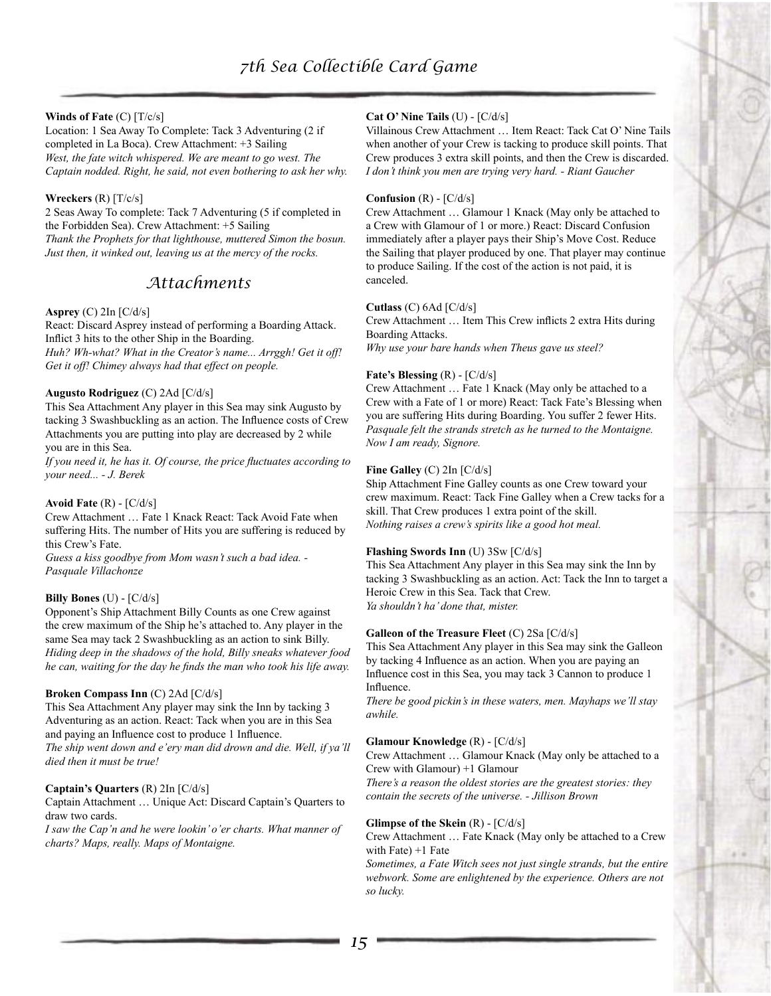# **Winds of Fate** (C) [T/c/s]

Location: 1 Sea Away To Complete: Tack 3 Adventuring (2 if completed in La Boca). Crew Attachment: +3 Sailing *West, the fate witch whispered. We are meant to go west. The Captain nodded. Right, he said, not even bothering to ask her why.*

## **Wreckers** (R) [T/c/s]

2 Seas Away To complete: Tack 7 Adventuring (5 if completed in the Forbidden Sea). Crew Attachment: +5 Sailing *Thank the Prophets for that lighthouse, muttered Simon the bosun. Just then, it winked out, leaving us at the mercy of the rocks.*

# *Attachments*

# **Asprey** (C) 2In [C/d/s]

React: Discard Asprey instead of performing a Boarding Attack. Inflict 3 hits to the other Ship in the Boarding.

*Huh? Wh-what? What in the Creator's name... Arrggh! Get it off! Get it off! Chimey always had that effect on people.*

# **Augusto Rodriguez** (C) 2Ad [C/d/s]

This Sea Attachment Any player in this Sea may sink Augusto by tacking 3 Swashbuckling as an action. The Influence costs of Crew Attachments you are putting into play are decreased by 2 while you are in this Sea.

*If you need it, he has it. Of course, the price fluctuates according to your need... - J. Berek*

#### **Avoid Fate** (R) - [C/d/s]

Crew Attachment … Fate 1 Knack React: Tack Avoid Fate when suffering Hits. The number of Hits you are suffering is reduced by this Crew's Fate.

*Guess a kiss goodbye from Mom wasn't such a bad idea. - Pasquale Villachonze*

#### **Billy Bones** (U) - [C/d/s]

Opponent's Ship Attachment Billy Counts as one Crew against the crew maximum of the Ship he's attached to. Any player in the same Sea may tack 2 Swashbuckling as an action to sink Billy. *Hiding deep in the shadows of the hold, Billy sneaks whatever food he can, waiting for the day he finds the man who took his life away.*

#### **Broken Compass Inn** (C) 2Ad [C/d/s]

This Sea Attachment Any player may sink the Inn by tacking 3 Adventuring as an action. React: Tack when you are in this Sea and paying an Influence cost to produce 1 Influence.

*The ship went down and e'ery man did drown and die. Well, if ya'll died then it must be true!*

#### **Captain's Quarters** (R) 2In [C/d/s]

Captain Attachment … Unique Act: Discard Captain's Quarters to draw two cards.

*I saw the Cap'n and he were lookin' o'er charts. What manner of charts? Maps, really. Maps of Montaigne.*

# **Cat O' Nine Tails** (U) - [C/d/s]

Villainous Crew Attachment … Item React: Tack Cat O' Nine Tails when another of your Crew is tacking to produce skill points. That Crew produces 3 extra skill points, and then the Crew is discarded. *I don't think you men are trying very hard. - Riant Gaucher*

#### **Confusion** (R) - [C/d/s]

Crew Attachment … Glamour 1 Knack (May only be attached to a Crew with Glamour of 1 or more.) React: Discard Confusion immediately after a player pays their Ship's Move Cost. Reduce the Sailing that player produced by one. That player may continue to produce Sailing. If the cost of the action is not paid, it is canceled.

#### **Cutlass** (C) 6Ad [C/d/s]

Crew Attachment … Item This Crew inflicts 2 extra Hits during Boarding Attacks.

*Why use your bare hands when Theus gave us steel?*

#### **Fate's Blessing** (R) - [C/d/s]

Crew Attachment … Fate 1 Knack (May only be attached to a Crew with a Fate of 1 or more) React: Tack Fate's Blessing when you are suffering Hits during Boarding. You suffer 2 fewer Hits. *Pasquale felt the strands stretch as he turned to the Montaigne. Now I am ready, Signore.*

#### **Fine Galley** (C) 2In [C/d/s]

Ship Attachment Fine Galley counts as one Crew toward your crew maximum. React: Tack Fine Galley when a Crew tacks for a skill. That Crew produces 1 extra point of the skill. *Nothing raises a crew's spirits like a good hot meal.*

#### **Flashing Swords Inn** (U) 3Sw [C/d/s]

This Sea Attachment Any player in this Sea may sink the Inn by tacking 3 Swashbuckling as an action. Act: Tack the Inn to target a Heroic Crew in this Sea. Tack that Crew. *Ya shouldn't ha' done that, mister.*

#### **Galleon of the Treasure Fleet** (C) 2Sa [C/d/s]

This Sea Attachment Any player in this Sea may sink the Galleon by tacking 4 Influence as an action. When you are paying an Influence cost in this Sea, you may tack 3 Cannon to produce 1 Influence.

*There be good pickin's in these waters, men. Mayhaps we'll stay awhile.*

# **Glamour Knowledge** (R) - [C/d/s]

Crew Attachment … Glamour Knack (May only be attached to a Crew with Glamour) +1 Glamour

*There's a reason the oldest stories are the greatest stories: they contain the secrets of the universe. - Jillison Brown*

#### **Glimpse of the Skein** (R) - [C/d/s]

Crew Attachment … Fate Knack (May only be attached to a Crew with Fate $) +1$  Fate

*Sometimes, a Fate Witch sees not just single strands, but the entire webwork. Some are enlightened by the experience. Others are not so lucky.*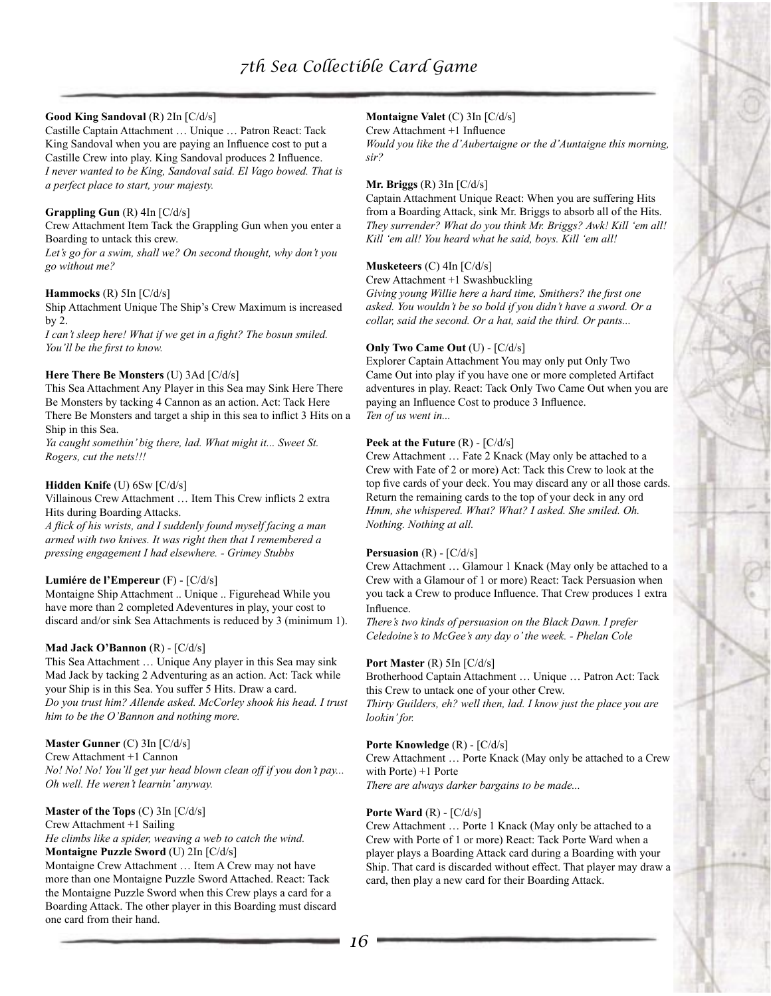# **Good King Sandoval** (R) 2In [C/d/s]

Castille Captain Attachment … Unique … Patron React: Tack King Sandoval when you are paying an Influence cost to put a Castille Crew into play. King Sandoval produces 2 Influence. *I never wanted to be King, Sandoval said. El Vago bowed. That is a perfect place to start, your majesty.*

# **Grappling Gun** (R) 4In [C/d/s]

Crew Attachment Item Tack the Grappling Gun when you enter a Boarding to untack this crew.

*Let's go for a swim, shall we? On second thought, why don't you go without me?*

#### **Hammocks** (R) 5In [C/d/s]

Ship Attachment Unique The Ship's Crew Maximum is increased by 2.

*I can't sleep here! What if we get in a fight? The bosun smiled. You'll be the first to know.*

#### **Here There Be Monsters** (U) 3Ad [C/d/s]

This Sea Attachment Any Player in this Sea may Sink Here There Be Monsters by tacking 4 Cannon as an action. Act: Tack Here There Be Monsters and target a ship in this sea to inflict 3 Hits on a Ship in this Sea.

*Ya caught somethin' big there, lad. What might it... Sweet St. Rogers, cut the nets!!!*

# **Hidden Knife** (U) 6Sw [C/d/s]

Villainous Crew Attachment … Item This Crew inflicts 2 extra Hits during Boarding Attacks.

*A flick of his wrists, and I suddenly found myself facing a man armed with two knives. It was right then that I remembered a pressing engagement I had elsewhere. - Grimey Stubbs*

#### **Lumiére de l'Empereur** (F) - [C/d/s]

Montaigne Ship Attachment .. Unique .. Figurehead While you have more than 2 completed Adeventures in play, your cost to discard and/or sink Sea Attachments is reduced by 3 (minimum 1).

#### **Mad Jack O'Bannon** (R) - [C/d/s]

This Sea Attachment … Unique Any player in this Sea may sink Mad Jack by tacking 2 Adventuring as an action. Act: Tack while your Ship is in this Sea. You suffer 5 Hits. Draw a card. *Do you trust him? Allende asked. McCorley shook his head. I trust him to be the O'Bannon and nothing more.*

# **Master Gunner** (C) 3In [C/d/s]

Crew Attachment +1 Cannon *No! No! No! You'll get yur head blown clean off if you don't pay... Oh well. He weren't learnin' anyway.*

# **Master of the Tops** (C) 3In [C/d/s]

Crew Attachment +1 Sailing

*He climbs like a spider, weaving a web to catch the wind.* **Montaigne Puzzle Sword** (U) 2In [C/d/s]

Montaigne Crew Attachment … Item A Crew may not have more than one Montaigne Puzzle Sword Attached. React: Tack the Montaigne Puzzle Sword when this Crew plays a card for a Boarding Attack. The other player in this Boarding must discard one card from their hand.

# **Montaigne Valet** (C) 3In [C/d/s]

Crew Attachment +1 Influence

*Would you like the d'Aubertaigne or the d'Auntaigne this morning, sir?*

#### **Mr. Briggs** (R) 3In [C/d/s]

Captain Attachment Unique React: When you are suffering Hits from a Boarding Attack, sink Mr. Briggs to absorb all of the Hits. *They surrender? What do you think Mr. Briggs? Awk! Kill 'em all! Kill 'em all! You heard what he said, boys. Kill 'em all!*

#### **Musketeers** (C) 4In [C/d/s]

Crew Attachment +1 Swashbuckling

*Giving young Willie here a hard time, Smithers? the first one asked. You wouldn't be so bold if you didn't have a sword. Or a collar, said the second. Or a hat, said the third. Or pants...*

#### **Only Two Came Out** (U) - [C/d/s]

Explorer Captain Attachment You may only put Only Two Came Out into play if you have one or more completed Artifact adventures in play. React: Tack Only Two Came Out when you are paying an Influence Cost to produce 3 Influence. *Ten of us went in...*

#### **Peek at the Future** (R) - [C/d/s]

Crew Attachment … Fate 2 Knack (May only be attached to a Crew with Fate of 2 or more) Act: Tack this Crew to look at the top five cards of your deck. You may discard any or all those cards. Return the remaining cards to the top of your deck in any ord *Hmm, she whispered. What? What? I asked. She smiled. Oh. Nothing. Nothing at all.*

#### **Persuasion** (R) - [C/d/s]

Crew Attachment … Glamour 1 Knack (May only be attached to a Crew with a Glamour of 1 or more) React: Tack Persuasion when you tack a Crew to produce Influence. That Crew produces 1 extra Influence.

*There's two kinds of persuasion on the Black Dawn. I prefer Celedoine's to McGee's any day o' the week. - Phelan Cole*

#### **Port Master** (R) 5In [C/d/s]

Brotherhood Captain Attachment … Unique … Patron Act: Tack this Crew to untack one of your other Crew.

*Thirty Guilders, eh? well then, lad. I know just the place you are lookin' for.*

#### **Porte Knowledge** (R) - [C/d/s]

Crew Attachment … Porte Knack (May only be attached to a Crew with Porte) +1 Porte

*There are always darker bargains to be made...*

#### **Porte Ward** (R) - [C/d/s]

Crew Attachment … Porte 1 Knack (May only be attached to a Crew with Porte of 1 or more) React: Tack Porte Ward when a player plays a Boarding Attack card during a Boarding with your Ship. That card is discarded without effect. That player may draw a card, then play a new card for their Boarding Attack.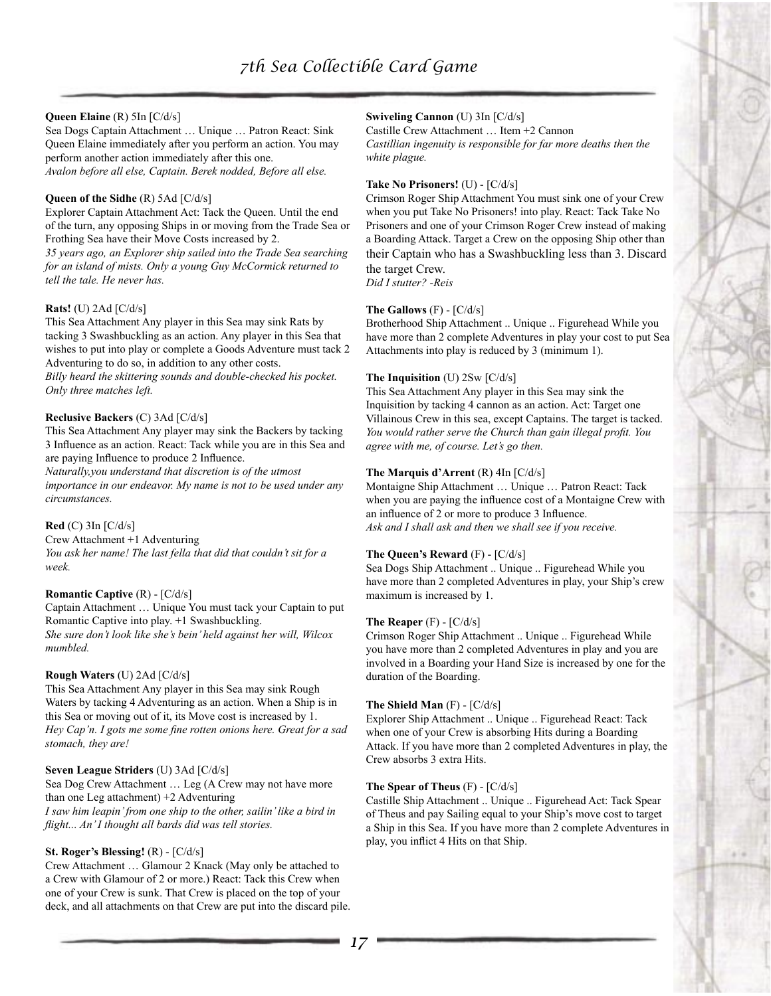# **Queen Elaine** (R) 5In [C/d/s]

Sea Dogs Captain Attachment … Unique … Patron React: Sink Queen Elaine immediately after you perform an action. You may perform another action immediately after this one. *Avalon before all else, Captain. Berek nodded, Before all else.*

#### **Queen of the Sidhe** (R) 5Ad [C/d/s]

Explorer Captain Attachment Act: Tack the Queen. Until the end of the turn, any opposing Ships in or moving from the Trade Sea or Frothing Sea have their Move Costs increased by 2.

*35 years ago, an Explorer ship sailed into the Trade Sea searching for an island of mists. Only a young Guy McCormick returned to tell the tale. He never has.*

# **Rats!** (U) 2Ad [C/d/s]

This Sea Attachment Any player in this Sea may sink Rats by tacking 3 Swashbuckling as an action. Any player in this Sea that wishes to put into play or complete a Goods Adventure must tack 2 Adventuring to do so, in addition to any other costs.

*Billy heard the skittering sounds and double-checked his pocket. Only three matches left.*

# **Reclusive Backers** (C) 3Ad [C/d/s]

This Sea Attachment Any player may sink the Backers by tacking 3 Influence as an action. React: Tack while you are in this Sea and are paying Influence to produce 2 Influence.

*Naturally,you understand that discretion is of the utmost importance in our endeavor. My name is not to be used under any circumstances.*

# **Red** (C) 3In [C/d/s]

Crew Attachment +1 Adventuring

*You ask her name! The last fella that did that couldn't sit for a week.*

#### **Romantic Captive** (R) - [C/d/s]

Captain Attachment … Unique You must tack your Captain to put Romantic Captive into play. +1 Swashbuckling. *She sure don't look like she's bein' held against her will, Wilcox mumbled.*

#### **Rough Waters** (U) 2Ad [C/d/s]

This Sea Attachment Any player in this Sea may sink Rough Waters by tacking 4 Adventuring as an action. When a Ship is in this Sea or moving out of it, its Move cost is increased by 1. *Hey Cap'n. I gots me some fine rotten onions here. Great for a sad stomach, they are!*

#### **Seven League Striders** (U) 3Ad [C/d/s]

Sea Dog Crew Attachment … Leg (A Crew may not have more than one Leg attachment) +2 Adventuring *I saw him leapin' from one ship to the other, sailin' like a bird in flight... An' I thought all bards did was tell stories.*

# **St. Roger's Blessing!** (R) - [C/d/s]

Crew Attachment … Glamour 2 Knack (May only be attached to a Crew with Glamour of 2 or more.) React: Tack this Crew when one of your Crew is sunk. That Crew is placed on the top of your deck, and all attachments on that Crew are put into the discard pile.

# **Swiveling Cannon** (U) 3In [C/d/s]

Castille Crew Attachment … Item +2 Cannon *Castillian ingenuity is responsible for far more deaths then the white plague.*

## **Take No Prisoners!** (U) - [C/d/s]

Crimson Roger Ship Attachment You must sink one of your Crew when you put Take No Prisoners! into play. React: Tack Take No Prisoners and one of your Crimson Roger Crew instead of making a Boarding Attack. Target a Crew on the opposing Ship other than their Captain who has a Swashbuckling less than 3. Discard the target Crew. *Did I stutter? -Reis*

# **The Gallows** (F) - [C/d/s]

Brotherhood Ship Attachment .. Unique .. Figurehead While you have more than 2 complete Adventures in play your cost to put Sea Attachments into play is reduced by 3 (minimum 1).

# **The Inquisition** (U) 2Sw [C/d/s]

This Sea Attachment Any player in this Sea may sink the Inquisition by tacking 4 cannon as an action. Act: Target one Villainous Crew in this sea, except Captains. The target is tacked. *You would rather serve the Church than gain illegal profit. You agree with me, of course. Let's go then.*

# **The Marquis d'Arrent** (R) 4In [C/d/s]

Montaigne Ship Attachment … Unique … Patron React: Tack when you are paying the influence cost of a Montaigne Crew with an influence of 2 or more to produce 3 Influence. *Ask and I shall ask and then we shall see if you receive.*

#### **The Queen's Reward** (F) - [C/d/s]

Sea Dogs Ship Attachment .. Unique .. Figurehead While you have more than 2 completed Adventures in play, your Ship's crew maximum is increased by 1.

#### **The Reaper** (F) - [C/d/s]

Crimson Roger Ship Attachment .. Unique .. Figurehead While you have more than 2 completed Adventures in play and you are involved in a Boarding your Hand Size is increased by one for the duration of the Boarding.

#### **The Shield Man** (F) - [C/d/s]

Explorer Ship Attachment .. Unique .. Figurehead React: Tack when one of your Crew is absorbing Hits during a Boarding Attack. If you have more than 2 completed Adventures in play, the Crew absorbs 3 extra Hits.

#### **The Spear of Theus** (F) - [C/d/s]

Castille Ship Attachment .. Unique .. Figurehead Act: Tack Spear of Theus and pay Sailing equal to your Ship's move cost to target a Ship in this Sea. If you have more than 2 complete Adventures in play, you inflict 4 Hits on that Ship.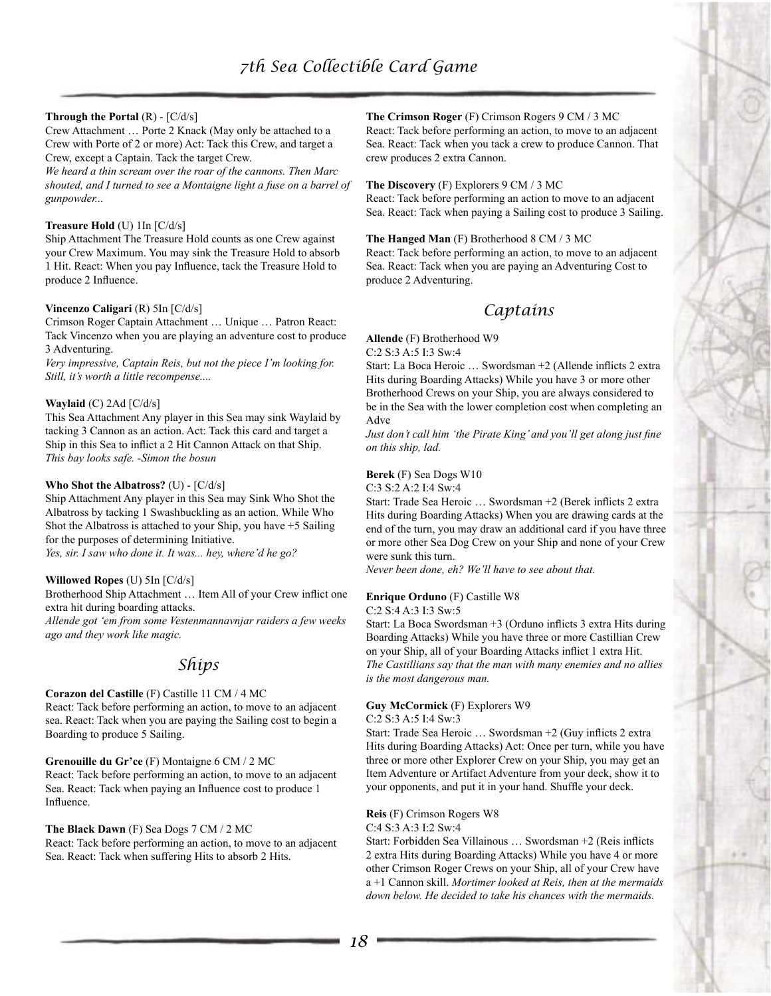## **Through the Portal** (R) - [C/d/s]

Crew Attachment … Porte 2 Knack (May only be attached to a Crew with Porte of 2 or more) Act: Tack this Crew, and target a Crew, except a Captain. Tack the target Crew.

*We heard a thin scream over the roar of the cannons. Then Marc shouted, and I turned to see a Montaigne light a fuse on a barrel of gunpowder...*

## **Treasure Hold** (U) 1In [C/d/s]

Ship Attachment The Treasure Hold counts as one Crew against your Crew Maximum. You may sink the Treasure Hold to absorb 1 Hit. React: When you pay Influence, tack the Treasure Hold to produce 2 Influence.

#### **Vincenzo Caligari** (R) 5In [C/d/s]

Crimson Roger Captain Attachment … Unique … Patron React: Tack Vincenzo when you are playing an adventure cost to produce 3 Adventuring.

*Very impressive, Captain Reis, but not the piece I'm looking for. Still, it's worth a little recompense....*

#### **Waylaid** (C) 2Ad [C/d/s]

This Sea Attachment Any player in this Sea may sink Waylaid by tacking 3 Cannon as an action. Act: Tack this card and target a Ship in this Sea to inflict a 2 Hit Cannon Attack on that Ship. *This bay looks safe. -Simon the bosun*

#### **Who Shot the Albatross?** (U) - [C/d/s]

Ship Attachment Any player in this Sea may Sink Who Shot the Albatross by tacking 1 Swashbuckling as an action. While Who Shot the Albatross is attached to your Ship, you have +5 Sailing for the purposes of determining Initiative. *Yes, sir. I saw who done it. It was... hey, where'd he go?*

#### **Willowed Ropes** (U) 5In [C/d/s]

Brotherhood Ship Attachment … Item All of your Crew inflict one extra hit during boarding attacks.

*Allende got 'em from some Vestenmannavnjar raiders a few weeks ago and they work like magic.*

# *Ships*

#### **Corazon del Castille** (F) Castille 11 CM / 4 MC

React: Tack before performing an action, to move to an adjacent sea. React: Tack when you are paying the Sailing cost to begin a Boarding to produce 5 Sailing.

**Grenouille du Gr'ce** (F) Montaigne 6 CM / 2 MC React: Tack before performing an action, to move to an adjacent Sea. React: Tack when paying an Influence cost to produce 1 Influence.

#### **The Black Dawn** (F) Sea Dogs 7 CM / 2 MC

React: Tack before performing an action, to move to an adjacent Sea. React: Tack when suffering Hits to absorb 2 Hits.

# **The Crimson Roger** (F) Crimson Rogers 9 CM / 3 MC

React: Tack before performing an action, to move to an adjacent Sea. React: Tack when you tack a crew to produce Cannon. That crew produces 2 extra Cannon.

**The Discovery** (F) Explorers 9 CM / 3 MC React: Tack before performing an action to move to an adjacent Sea. React: Tack when paying a Sailing cost to produce 3 Sailing.

**The Hanged Man** (F) Brotherhood 8 CM / 3 MC React: Tack before performing an action, to move to an adjacent Sea. React: Tack when you are paying an Adventuring Cost to produce 2 Adventuring.

# *Captains*

**Allende** (F) Brotherhood W9

C:2 S:3 A:5 I:3 Sw:4

Start: La Boca Heroic … Swordsman +2 (Allende inflicts 2 extra Hits during Boarding Attacks) While you have 3 or more other Brotherhood Crews on your Ship, you are always considered to be in the Sea with the lower completion cost when completing an Adve

*Just don't call him 'the Pirate King' and you'll get along just fine on this ship, lad.*

#### **Berek** (F) Sea Dogs W10

C:3 S:2 A:2 I:4 Sw:4

Start: Trade Sea Heroic … Swordsman +2 (Berek inflicts 2 extra Hits during Boarding Attacks) When you are drawing cards at the end of the turn, you may draw an additional card if you have three or more other Sea Dog Crew on your Ship and none of your Crew were sunk this turn.

*Never been done, eh? We'll have to see about that.*

# **Enrique Orduno** (F) Castille W8

C:2 S:4 A:3 I:3 Sw:5

Start: La Boca Swordsman +3 (Orduno inflicts 3 extra Hits during Boarding Attacks) While you have three or more Castillian Crew on your Ship, all of your Boarding Attacks inflict 1 extra Hit. *The Castillians say that the man with many enemies and no allies is the most dangerous man.*

# **Guy McCormick** (F) Explorers W9

C:2 S:3 A:5 I:4 Sw:3

Start: Trade Sea Heroic … Swordsman +2 (Guy inflicts 2 extra Hits during Boarding Attacks) Act: Once per turn, while you have three or more other Explorer Crew on your Ship, you may get an Item Adventure or Artifact Adventure from your deck, show it to your opponents, and put it in your hand. Shuffle your deck.

**Reis** (F) Crimson Rogers W8

C:4 S:3 A:3 I:2 Sw:4

Start: Forbidden Sea Villainous … Swordsman +2 (Reis inflicts 2 extra Hits during Boarding Attacks) While you have 4 or more other Crimson Roger Crews on your Ship, all of your Crew have a +1 Cannon skill. *Mortimer looked at Reis, then at the mermaids down below. He decided to take his chances with the mermaids.*